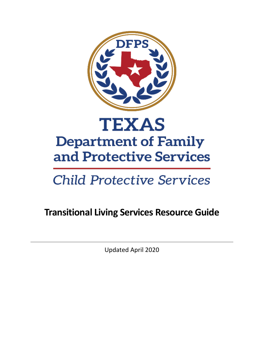

# **Child Protective Services**

## **Transitional Living Services Resource Guide**

Updated April 2020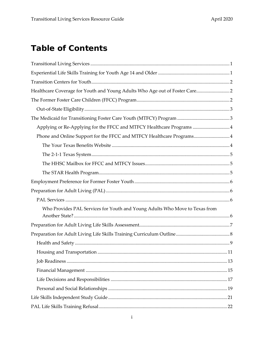## **Table of Contents**

| Healthcare Coverage for Youth and Young Adults Who Age out of Foster Care 2 |
|-----------------------------------------------------------------------------|
|                                                                             |
|                                                                             |
|                                                                             |
| Applying or Re-Applying for the FFCC and MTFCY Healthcare Programs 4        |
| Phone and Online Support for the FFCC and MTFCY Healthcare Programs4        |
|                                                                             |
|                                                                             |
|                                                                             |
|                                                                             |
|                                                                             |
|                                                                             |
|                                                                             |
| Who Provides PAL Services for Youth and Young Adults Who Move to Texas from |
|                                                                             |
|                                                                             |
|                                                                             |
|                                                                             |
|                                                                             |
|                                                                             |
|                                                                             |
|                                                                             |
|                                                                             |
|                                                                             |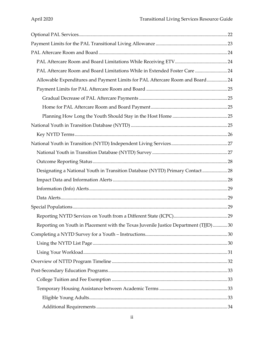| PAL Aftercare Room and Board Limitations While in Extended Foster Care  24           |  |
|--------------------------------------------------------------------------------------|--|
| Allowable Expenditures and Payment Limits for PAL Aftercare Room and Board24         |  |
|                                                                                      |  |
|                                                                                      |  |
|                                                                                      |  |
|                                                                                      |  |
|                                                                                      |  |
|                                                                                      |  |
|                                                                                      |  |
|                                                                                      |  |
|                                                                                      |  |
| Designating a National Youth in Transition Database (NYTD) Primary Contact 28        |  |
|                                                                                      |  |
|                                                                                      |  |
|                                                                                      |  |
|                                                                                      |  |
|                                                                                      |  |
| Reporting on Youth in Placement with the Texas Juvenile Justice Department (TJJD) 30 |  |
|                                                                                      |  |
|                                                                                      |  |
|                                                                                      |  |
|                                                                                      |  |
|                                                                                      |  |
|                                                                                      |  |
|                                                                                      |  |
|                                                                                      |  |
|                                                                                      |  |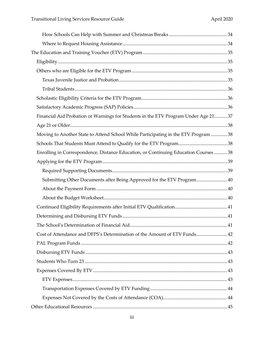| Financial Aid Probation or Warnings for Students in the ETV Program Under Age 21 37 |  |
|-------------------------------------------------------------------------------------|--|
|                                                                                     |  |
| Moving to Another State to Attend School While Participating in the ETV Program38   |  |
|                                                                                     |  |
| Enrolling in Correspondence, Distance Education, or Continuing Education Courses 38 |  |
|                                                                                     |  |
|                                                                                     |  |
| Submitting Other Documents after Being Approved for the ETV Program 40              |  |
|                                                                                     |  |
|                                                                                     |  |
|                                                                                     |  |
|                                                                                     |  |
| . 41                                                                                |  |
| Cost of Attendance and DFPS's Determination of the Amount of ETV Funds 42           |  |
|                                                                                     |  |
|                                                                                     |  |
|                                                                                     |  |
|                                                                                     |  |
|                                                                                     |  |
|                                                                                     |  |
|                                                                                     |  |
|                                                                                     |  |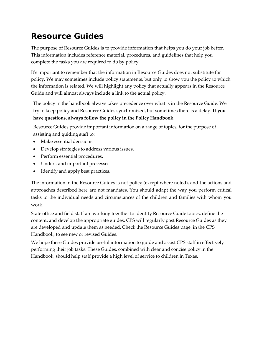## **Resource Guides**

The purpose of Resource Guides is to provide information that helps you do your job better. This information includes reference material, procedures, and guidelines that help you complete the tasks you are required to do by policy.

It's important to remember that the information in Resource Guides does not substitute for policy. We may sometimes include policy statements, but only to show you the policy to which the information is related. We will highlight any policy that actually appears in the Resource Guide and will almost always include a link to the actual policy.

The policy in the handbook always takes precedence over what is in the Resource Guide. We try to keep policy and Resource Guides synchronized, but sometimes there is a delay. **If you have questions, always follow the policy in the Policy Handbook**.

Resource Guides provide important information on a range of topics, for the purpose of assisting and guiding staff to:

- Make essential decisions.
- Develop strategies to address various issues.
- Perform essential procedures.
- Understand important processes.
- Identify and apply best practices.

The information in the Resource Guides is not policy (except where noted), and the actions and approaches described here are not mandates. You should adapt the way you perform critical tasks to the individual needs and circumstances of the children and families with whom you work.

State office and field staff are working together to identify Resource Guide topics, define the content, and develop the appropriate guides. CPS will regularly post Resource Guides as they are developed and update them as needed. Check the Resource Guides page, in the CPS Handbook, to see new or revised Guides.

We hope these Guides provide useful information to guide and assist CPS staff in effectively performing their job tasks. These Guides, combined with clear and concise policy in the Handbook, should help staff provide a high level of service to children in Texas.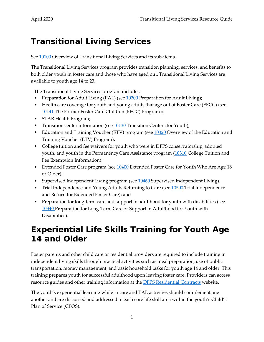## <span id="page-6-0"></span>**Transitional Living Services**

See  $\frac{10100}{ }$  Overview of Transitional Living Services and its sub-items.

The Transitional Living Services program provides transition planning, services, and benefits to both older youth in foster care and those who have aged out. Transitional Living Services are available to youth age 14 to 23.

The Transitional Living Services program includes:

- Preparation for Adult Living (PAL) (see [10200](http://www.dfps.state.tx.us/handbooks/CPS/Files/CPS_pg_x10200.asp#CPS_10200) Preparation for Adult Living);
- Health care coverage for youth and young adults that age out of Foster Care (FFCC) (see [10141](http://www.dfps.state.tx.us/handbooks/CPS/Files/CPS_pg_x10000.asp#CPS_10141) The Former Foster Care Children (FFCC) Program);
- STAR Health Program;
- Transition center information (see  $\underline{10130}$  $\underline{10130}$  $\underline{10130}$  Transition Centers for Youth);
- Education and Training Voucher (ETV) program (see [10320](http://www.dfps.state.tx.us/handbooks/CPS/Files/CPS_pg_x10300.asp#CPS_10320) Overview of the Education and Training Voucher (ETV) Program);
- College tuition and fee waivers for youth who were in DFPS conservatorship, adopted youth, and youth in the Permanency Care Assistance program [\(10310](http://www.dfps.state.tx.us/handbooks/CPS/Files/CPS_pg_x10300.asp#CPS_10310) College Tuition and Fee Exemption Information);
- Extended Foster Care program (see [10400](http://www.dfps.state.tx.us/handbooks/CPS/Files/CPS_pg_x10400.asp#CPS_10400) Extended Foster Care for Youth Who Are Age 18 or Older);
- Supervised Independent Living program (see [10460](http://www.dfps.state.tx.us/handbooks/CPS/Files/CPS_pg_x10400.asp#CPS_10460) Supervised Independent Living).
- Trial Independence and Young Adults Returning to Care (see [10500](http://www.dfps.state.tx.us/handbooks/CPS/Files/CPS_pg_x10500.asp#CPS_10500) Trial Independence and Return for Extended Foster Care); and
- Preparation for long-term care and support in adulthood for youth with disabilities (see [10340](http://www.dfps.state.tx.us/handbooks/CPS/Files/CPS_pg_x10300.asp#CPS_10340) Preparation for Long-Term Care or Support in Adulthood for Youth with Disabilities).

## <span id="page-6-1"></span>**Experiential Life Skills Training for Youth Age 14 and Older**

Foster parents and other child care or residential providers are required to include training in independent living skills through practical activities such as meal preparation, use of public transportation, money management, and basic household tasks for youth age 14 and older. This training prepares youth for successful adulthood upon leaving foster care. Providers can access resource guides and other training information at the **DFPS** Residential Contracts website.

The youth's experiential learning while in care and PAL activities should complement one another and are discussed and addressed in each core life skill area within the youth's Child's Plan of Service (CPOS).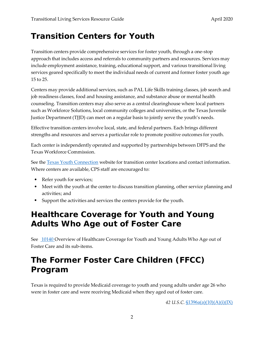## <span id="page-7-0"></span>**Transition Centers for Youth**

Transition centers provide comprehensive services for foster youth, through a one-stop approach that includes access and referrals to community partners and resources. Services may include employment assistance, training, educational support, and various transitional living services geared specifically to meet the individual needs of current and former foster youth age 15 to 25.

Centers may provide additional services, such as PAL Life Skills training classes, job search and job readiness classes, food and housing assistance, and substance abuse or mental health counseling. Transition centers may also serve as a central clearinghouse where local partners such as Workforce Solutions, local community colleges and universities, or the Texas Juvenile Justice Department (TJJD) can meet on a regular basis to jointly serve the youth's needs.

Effective transition centers involve local, state, and federal partners. Each brings different strengths and resources and serves a particular role to promote positive outcomes for youth.

Each center is independently operated and supported by partnerships between DFPS and the Texas Workforce Commission.

See the [Texas Youth Connection](https://www.dfps.state.tx.us/txyouth/) website for transition center locations and contact information. Where centers are available, CPS staff are encouraged to:

- Refer youth for services;
- Meet with the youth at the center to discuss transition planning, other service planning and activities; and
- Support the activities and services the centers provide for the youth.

## <span id="page-7-1"></span>**Healthcare Coverage for Youth and Young Adults Who Age out of Foster Care**

See [10140 O](http://www.dfps.state.tx.us/handbooks/CPS/Files/CPS_pg_x10000.asp#CPS_10140)verview of Healthcare Coverage for Youth and Young Adults Who Age out of Foster Care and its sub-items.

## <span id="page-7-2"></span>**The Former Foster Care Children (FFCC) Program**

Texas is required to provide Medicaid coverage to youth and young adults under age 26 who were in foster care and were receiving Medicaid when they aged out of foster care.

*42 U.S.C.* [§1396a\(a\)\(10\)\(A\)\(i\)\(IX\)](https://uscode.house.gov/view.xhtml?req=(title:42%20section:1396a%20edition:prelim))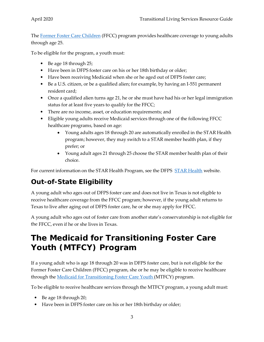The [Former Foster Care Children](https://yourtexasbenefits.hhsc.texas.gov/programs/health/child/former-foster-care) (FFCC) program provides healthcare coverage to young adults through age 25.

To be eligible for the program, a youth must:

- Be age 18 through 25;
- Have been in DFPS foster care on his or her 18th birthday or older;
- Have been receiving Medicaid when she or he aged out of DFPS foster care;
- Be a U.S. citizen, or be a qualified alien; for example, by having an I-551 permanent resident card;
- Once a qualified alien turns age 21, he or she must have had his or her legal immigration status for at least five years to qualify for the FFCC;
- There are no income, asset, or education requirements; and
- Eligible young adults receive Medicaid services through one of the following FFCC healthcare programs, based on age:
	- Young adults ages 18 through 20 are automatically enrolled in the STAR Health program; however, they may switch to a STAR member health plan, if they prefer; or
	- Young adult ages 21 through 25 choose the STAR member health plan of their choice.

For current information on the [STAR Health](https://www.dfps.state.tx.us/Child_Protection/Medical_Services/) Program, see the DFPS STAR Health website.

## <span id="page-8-0"></span>**Out-of-State Eligibility**

A young adult who ages out of DFPS foster care and does not live in Texas is not eligible to receive healthcare coverage from the FFCC program; however, if the young adult returns to Texas to live after aging out of DFPS foster care, he or she may apply for FFCC.

A young adult who ages out of foster care from another state's conservatorship is not eligible for the FFCC, even if he or she lives in Texas.

## <span id="page-8-1"></span>**The Medicaid for Transitioning Foster Care Youth (MTFCY) Program**

If a young adult who is age 18 through 20 was in DFPS foster care, but is not eligible for the Former Foster Care Children (FFCC) program, she or he may be eligible to receive healthcare through the [Medicaid for Transitioning Foster Care Youth \(](https://yourtexasbenefits.hhsc.texas.gov/programs/health/child/transitioning-foster-care)MTFCY) program.

To be eligible to receive healthcare services through the MTFCY program, a young adult must:

- Be age 18 through 20;
- Have been in DFPS foster care on his or her 18th birthday or older;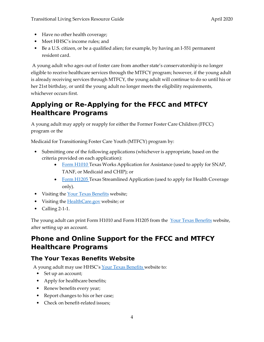- Have no other health coverage;
- Meet HHSC's income rules; and
- Be a U.S. citizen, or be a qualified alien; for example, by having an I-551 permanent resident card.

A young adult who ages out of foster care from another state's conservatorship is no longer eligible to receive healthcare services through the MTFCY program; however, if the young adult is already receiving services through MTFCY, the young adult will continue to do so until his or her 21st birthday, or until the young adult no longer meets the eligibility requirements, whichever occurs first.

## <span id="page-9-0"></span>**Applying or Re-Applying for the FFCC and MTFCY Healthcare Programs**

A young adult may apply or reapply for either the Former Foster Care Children (FFCC) program or the

Medicaid for Transitioning Foster Care Youth (MTFCY) program by:

- Submitting one of the following applications (whichever is appropriate, based on the criteria provided on each application):
	- [Form H1010 T](https://hhs.texas.gov/laws-regulations/forms/1000-1999/form-h1010-texas-works-application-assistance-your-texas-benefits)exas Works Application for Assistance (used to apply for SNAP, TANF, or Medicaid and CHIP); or
	- [Form H1205 T](https://hhs.texas.gov/laws-regulations/forms/1000-1999/form-h1205-texas-streamlined-application)exas Streamlined Application (used to apply for Health Coverage only).
- Visiting the [Your Texas Benefits](https://www.yourtexasbenefits.com/ssp/SSPHome/ssphome.jsp) website;
- Visiting the **[HealthCare.gov](http://healthcare.gov/)** website; or
- Calling  $2-1-1$ .

The young adult can print Form H1010 and Form H1205 from the [Your Texas Benefits](https://www.yourtexasbenefits.com/ssp/SSPHome/ssphome.jsp) website, after setting up an account.

## <span id="page-9-1"></span>**Phone and Online Support for the FFCC and MTFCY Healthcare Programs**

### <span id="page-9-2"></span>**The Your Texas Benefits Website**

A young adult may use HHSC's [Your Texas Benefits w](https://www.yourtexasbenefits.com/ssp/SSPHome/ssphome.jsp)ebsite to:

- Set up an account;
- Apply for healthcare benefits;
- Renew benefits every year;
- Report changes to his or her case;
- Check on benefit-related issues;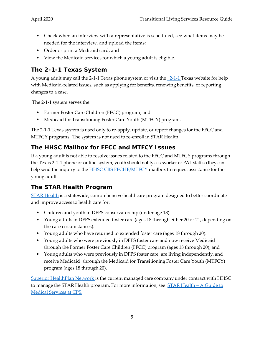- Check when an interview with a representative is scheduled, see what items may be needed for the interview, and upload the items;
- Order or print a Medicaid card; and
- View the Medicaid services for which a young adult is eligible.

### <span id="page-10-0"></span>**The 2-1-1 Texas System**

A young adult may call the [2-1-1 T](https://www.211texas.org/)exas phone system or visit the  $2-1-1$  Texas website for help with Medicaid-related issues, such as applying for benefits, renewing benefits, or reporting changes to a case.

The 2-1-1 system serves the:

- Former Foster Care Children (FFCC) program; and
- Medicaid for Transitioning Foster Care Youth (MTFCY) program.

The 2-1-1 Texas system is used only to re-apply, update, or report changes for the FFCC and MTFCY programs. The system is not used to re-enroll in STAR Health.

### <span id="page-10-1"></span>**The HHSC Mailbox for FFCC and MTFCY Issues**

If a young adult is not able to resolve issues related to the FFCC and MTFCY programs through the Texas 2-1-1 phone or online system, youth should notify caseworker or PAL staff so they can help send the inquiry to the [HHSC CBS FFCHE/MTFCY m](mailto:CBS_ffche-mtfcy@hhsc.state.tx.us)ailbox to request assistance for the young adult.

### <span id="page-10-2"></span>**The STAR Health Program**

[STAR Health](https://www.fostercaretx.com/) is a statewide, comprehensive healthcare program designed to better coordinate and improve access to health care for:

- Children and youth in DFPS conservatorship (under age 18).
- Young adults in DFPS extended foster care (ages 18 through either 20 or 21, depending on the case circumstances).
- Young adults who have returned to extended foster care (ages 18 through 20).
- Young adults who were previously in DFPS foster care and now receive Medicaid through the Former Foster Care Children (FFCC) program (ages 18 through 20); and
- Young adults who were previously in DFPS foster care, are living independently, and receive Medicaid through the Medicaid for Transitioning Foster Care Youth (MTFCY) program (ages 18 through 20).

[Superior HealthPlan Network i](https://www.fostercaretx.com/)s the current managed care company under contract with HHSC to manage the STAR Health program. For more information, see  $STAR$  Health – A Guide to [Medical](https://www.dfps.state.tx.us/child_protection/medical_services/) [Services at CPS.](https://www.dfps.state.tx.us/child_protection/medical_services/)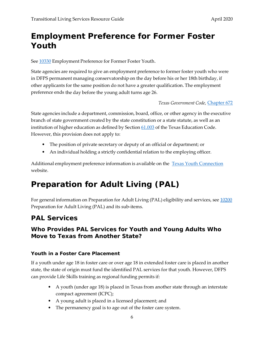## <span id="page-11-0"></span>**Employment Preference for Former Foster Youth**

See  $10330$  Employment Preference for Former Foster Youth.

State agencies are required to give an employment preference to former foster youth who were in DFPS permanent managing conservatorship on the day before his or her 18th birthday, if other applicants for the same position do not have a greater qualification. The employment preference ends the day before the young adult turns age 26.

*Texas Government Code,* [Chapter 672](http://www.statutes.legis.state.tx.us/Docs/GV/htm/GV.672.htm)

State agencies include a department, commission, board, office, or other agency in the executive branch of state government created by the state constitution or a state statute, as well as an institution of higher education as defined by Section [61.003](http://www.statutes.legis.state.tx.us/Docs/ED/htm/ED.61.htm) of the Texas Education Code. However, this provision does not apply to:

- The position of private secretary or deputy of an official or department; or
- An individual holding a strictly confidential relation to the employing officer.

Additional employment preference information is available on the [Texas Youth Connection](https://www.dfps.state.tx.us/txyouth/jobs/default.asp) website.

## <span id="page-11-1"></span>**Preparation for Adult Living (PAL)**

For general information on Preparation for Adult Living (PAL) eligibility and services, see [10200](http://www.dfps.state.tx.us/handbooks/CPS/Files/CPS_pg_x10200.asp#CPS_10200) Preparation for Adult Living (PAL) and its sub-items.

## <span id="page-11-2"></span>**PAL Services**

#### <span id="page-11-3"></span>**Who Provides PAL Services for Youth and Young Adults Who Move to Texas from Another State?**

#### **Youth in a Foster Care Placement**

If a youth under age 18 in foster care or over age 18 in extended foster care is placed in another state, the state of origin must fund the identified PAL services for that youth. However, DFPS can provide Life Skills training as regional funding permits if:

- A youth (under age 18) is placed in Texas from another state through an interstate compact agreement (ICPC);
- A young adult is placed in a licensed placement; and
- The permanency goal is to age out of the foster care system.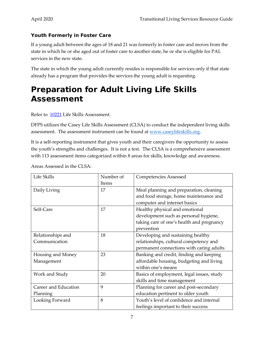#### **Youth Formerly in Foster Care**

If a young adult between the ages of 18 and 21 was formerly in foster care and moves from the state in which he or she aged out of foster care to another state, he or she is eligible for PAL services in the new state.

The state in which the young adult currently resides is responsible for services only if that state already has a program that provides the services the young adult is requesting.

## <span id="page-12-0"></span>**Preparation for Adult Living Life Skills Assessment**

#### Refer to [10221](http://www.dfps.state.tx.us/handbooks/CPS/Files/CPS_pg_x10200.asp#CPS_10222) Life Skills Assessment.

DFPS utilizes the Casey Life Skills Assessment (CLSA) to conduct the independent living skills assessment. The assessment instrument can be found at [www.caseylifeskills.org.](http://www.caseylifeskills.org/)

It is a self-reporting instrument that gives youth and their caregivers the opportunity to assess the youth's strengths and challenges. It is not a test. The CLSA is a comprehensive assessment with 113 assessment items categorized within 8 areas for skills, knowledge and awareness.

| Life Skills          | Number of | <b>Competencies Assessed</b>              |
|----------------------|-----------|-------------------------------------------|
|                      | Items     |                                           |
| Daily Living         | 17        | Meal planning and preparation, cleaning   |
|                      |           | and food storage, home maintenance and    |
|                      |           | computer and internet basics              |
| Self-Care            | 17        | Healthy physical and emotional            |
|                      |           | development such as personal hygiene,     |
|                      |           | taking care of one's health and pregnancy |
|                      |           | prevention                                |
| Relationships and    | 18        | Developing and sustaining healthy         |
| Communication        |           | relationships, cultural competency and    |
|                      |           | permanent connections with caring adults  |
| Housing and Money    | 23        | Banking and credit, finding and keeping   |
| Management           |           | affordable housing, budgeting and living  |
|                      |           | within one's means                        |
| Work and Study       | 20        | Basics of employment, legal issues, study |
|                      |           | skills and time management                |
| Career and Education | 9         | Planning for career and post-secondary    |
| Planning             |           | education pertinent to older youth        |
| Looking Forward      | 8         | Youth's level of confidence and internal  |
|                      |           | feelings important to their success       |

Areas Assessed in the CLSA: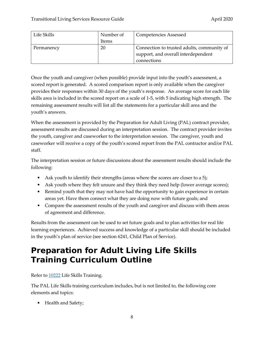| Life Skills | Number of | <b>Competencies Assessed</b>               |
|-------------|-----------|--------------------------------------------|
|             | Items     |                                            |
| Permanency  | 20        | Connection to trusted adults, community of |
|             |           | support, and overall interdependent        |
|             |           | connections                                |

Once the youth and caregiver (when possible) provide input into the youth's assessment, a scored report is generated. A scored comparison report is only available when the caregiver provides their responses within 30 days of the youth's response. An average score for each life skills area is included in the scored report on a scale of 1-5, with 5 indicating high strength. The remaining assessment results will list all the statements for a particular skill area and the youth's answers.

When the assessment is provided by the Preparation for Adult Living (PAL) contract provider, assessment results are discussed during an interpretation session. The contract provider invites the youth, caregiver and caseworker to the interpretation session. The caregiver, youth and caseworker will receive a copy of the youth's scored report from the PAL contractor and/or PAL staff.

The interpretation session or future discussions about the assessment results should include the following:

- Ask youth to identify their strengths (areas where the scores are closer to a 5);
- Ask youth where they felt unsure and they think they need help (lower average scores);
- Remind youth that they may not have had the opportunity to gain experience in certain areas yet. Have them connect what they are doing now with future goals; and
- Compare the assessment results of the youth and caregiver and discuss with them areas of agreement and difference.

Results from the assessment can be used to set future goals and to plan activities for real life learning experiences. Achieved success and knowledge of a particular skill should be included in the youth's plan of service (see section 6241, Child Plan of Service).

## <span id="page-13-0"></span>**Preparation for Adult Living Life Skills Training Curriculum Outline**

Refer to [10222](http://www.dfps.state.tx.us/handbooks/CPS/Files/CPS_pg_x10200.asp#CPS_10222) Life Skills Training.

The PAL Life Skills training curriculum includes, but is not limited to, the following core elements and topics:

• Health and Safety;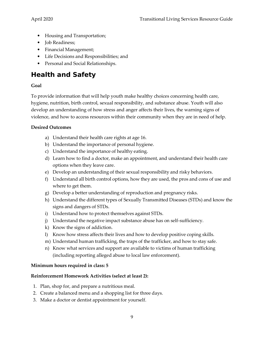- Housing and Transportation;
- Job Readiness;
- Financial Management;
- Life Decisions and Responsibilities; and
- Personal and Social Relationships.

## <span id="page-14-0"></span>**Health and Safety**

#### **Goal**

To provide information that will help youth make healthy choices concerning health care, hygiene, nutrition, birth control, sexual responsibility, and substance abuse. Youth will also develop an understanding of how stress and anger affects their lives, the warning signs of violence, and how to access resources within their community when they are in need of help.

#### **Desired Outcomes**

- a) Understand their health care rights at age 16.
- b) Understand the importance of personal hygiene.
- c) Understand the importance of healthy eating.
- d) Learn how to find a doctor, make an appointment, and understand their health care options when they leave care.
- e) Develop an understanding of their sexual responsibility and risky behaviors.
- f) Understand all birth control options, how they are used, the pros and cons of use and where to get them.
- g) Develop a better understanding of reproduction and pregnancy risks.
- h) Understand the different types of Sexually Transmitted Diseases (STDs) and know the signs and dangers of STDs.
- i) Understand how to protect themselves against STDs.
- j) Understand the negative impact substance abuse has on self-sufficiency.
- k) Know the signs of addiction.
- l) Know how stress affects their lives and how to develop positive coping skills.
- m) Understand human trafficking, the traps of the trafficker, and how to stay safe.
- n) Know what services and support are available to victims of human trafficking (including reporting alleged abuse to local law enforcement).

#### **Minimum hours required in class: 5**

#### **Reinforcement Homework Activities (select at least 2):**

- 1. Plan, shop for, and prepare a nutritious meal.
- 2. Create a balanced menu and a shopping list for three days.
- 3. Make a doctor or dentist appointment for yourself.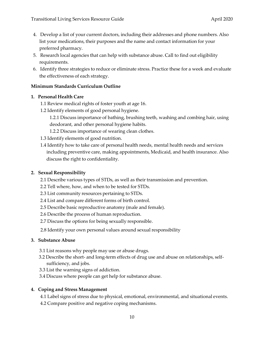- 4. Develop a list of your current doctors, including their addresses and phone numbers. Also list your medications, their purposes and the name and contact information for your preferred pharmacy.
- 5. Research local agencies that can help with substance abuse. Call to find out eligibility requirements.
- 6. Identify three strategies to reduce or eliminate stress. Practice these for a week and evaluate the effectiveness of each strategy.

#### **Minimum Standards Curriculum Outline**

#### **1. Personal Health Care**

- 1.1 Review medical rights of foster youth at age 16.
- 1.2 Identify elements of good personal hygiene.
	- 1.2.1 Discuss importance of bathing, brushing teeth, washing and combing hair, using deodorant, and other personal hygiene habits.
	- 1.2.2 Discuss importance of wearing clean clothes.
- 1.3 Identify elements of good nutrition.
- 1.4 Identify how to take care of personal health needs, mental health needs and services including preventive care, making appointments, Medicaid, and health insurance. Also discuss the right to confidentiality.

#### **2. Sexual Responsibility**

- 2.1 Describe various types of STDs, as well as their transmission and prevention.
- 2.2 Tell where, how, and when to be tested for STDs.
- 2.3 List community resources pertaining to STDs.
- 2.4 List and compare different forms of birth control.
- 2.5 Describe basic reproductive anatomy (male and female).
- 2.6 Describe the process of human reproduction.
- 2.7 Discuss the options for being sexually responsible.
- 2.8 Identify your own personal values around sexual responsibility

#### **3. Substance Abuse**

- 3.1 List reasons why people may use or abuse drugs.
- 3.2 Describe the short- and long-term effects of drug use and abuse on relationships, selfsufficiency, and jobs.
- 3.3 List the warning signs of addiction.
- 3.4 Discuss where people can get help for substance abuse.

#### **4. Coping and Stress Management**

- 4.1 Label signs of stress due to physical, emotional, environmental, and situational events.
- 4.2 Compare positive and negative coping mechanisms.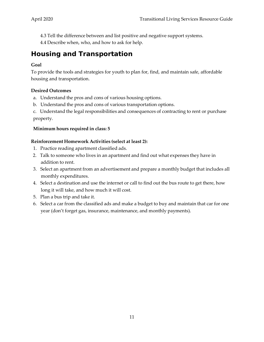- 4.3 Tell the difference between and list positive and negative support systems.
- 4.4 Describe when, who, and how to ask for help.

## <span id="page-16-0"></span>**Housing and Transportation**

#### **Goal**

To provide the tools and strategies for youth to plan for, find, and maintain safe, affordable housing and transportation.

#### **Desired Outcomes**

- a. Understand the pros and cons of various housing options.
- b. Understand the pros and cons of various transportation options.

c. Understand the legal responsibilities and consequences of contracting to rent or purchase property.

#### **Minimum hours required in class: 5**

#### **Reinforcement Homework Activities (select at least 2):**

- 1. Practice reading apartment classified ads.
- 2. Talk to someone who lives in an apartment and find out what expenses they have in addition to rent.
- 3. Select an apartment from an advertisement and prepare a monthly budget that includes all monthly expenditures.
- 4. Select a destination and use the internet or call to find out the bus route to get there, how long it will take, and how much it will cost.
- 5. Plan a bus trip and take it.
- 6. Select a car from the classified ads and make a budget to buy and maintain that car for one year (don't forget gas, insurance, maintenance, and monthly payments).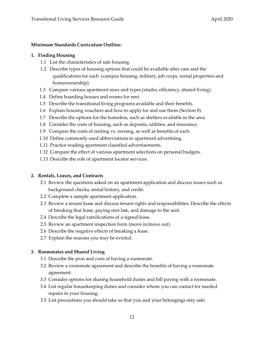#### **Minimum Standards Curriculum Outline:**

#### **1. Finding Housing**

- 1.1 List the characteristics of safe housing.
- 1.2 Describe types of housing options that could be available after care and the qualifications for each (campus housing, military, job corps, rental properties and homeownership).
- 1.3 Compare various apartment sizes and types (studio, efficiency, shared living).
- 1.4 Define boarding houses and rooms for rent.
- 1.5 Describe the transitional living programs available and their benefits.
- 1.6 Explain housing vouchers and how to apply for and use them (Section 8).
- 1.7 Describe the options for the homeless, such as shelters available in the area.
- 1.8 Consider the costs of housing, such as deposits, utilities, and insurance.
- 1.9 Compare the costs of renting vs. owning, as well as benefits of each.
- 1.10 Define commonly used abbreviations in apartment advertising.
- 1.11 Practice reading apartment classified advertisements.
- 1.12 Compare the effect of various apartment selections on personal budgets.
- 1.13 Describe the role of apartment locator services.

#### **2. Rentals, Leases, and Contracts**

- 2.1 Review the questions asked on an apartment application and discuss issues such as background checks, rental history, and credit.
- 2.2 Complete a sample apartment application.
- 2.3 Review a tenant lease and discuss tenant rights and responsibilities. Describe the effects of breaking that lease, paying rent late, and damage to the unit.
- 2.4 Describe the legal ramifications of a signed lease.
- 2.5 Review an apartment inspection form (move in/move out).
- 2.6 Describe the negative effects of breaking a lease.
- 2.7 Explain the reasons you may be evicted.

#### **3. Roommates and Shared Living**

- 3.1 Describe the pros and cons of having a roommate.
- 3.2 Review a roommate agreement and describe the benefits of having a roommate agreement.
- 3.3 Consider options for sharing household duties and bill paying with a roommate.
- 3.4 List regular housekeeping duties and consider whom you can contact for needed repairs in your housing.
- 3.5 List precautions you should take so that you and your belongings stay safe.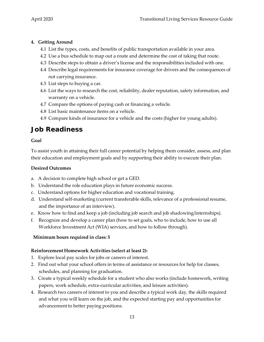#### **4. Getting Around**

- 4.1 List the types, costs, and benefits of public transportation available in your area.
- 4.2 Use a bus schedule to map out a route and determine the cost of taking that route.
- 4.3 Describe steps to obtain a driver's license and the responsibilities included with one.
- 4.4 Describe legal requirements for insurance coverage for drivers and the consequences of not carrying insurance.
- 4.5 List steps to buying a car.
- 4.6 List the ways to research the cost, reliability, dealer reputation, safety information, and warranty on a vehicle.
- 4.7 Compare the options of paying cash or financing a vehicle.
- 4.8 List basic maintenance items on a vehicle.
- 4.9 Compare kinds of insurance for a vehicle and the costs (higher for young adults).

### <span id="page-18-0"></span>**Job Readiness**

#### **Goal**

To assist youth in attaining their full career potential by helping them consider, assess, and plan their education and employment goals and by supporting their ability to execute their plan.

#### **Desired Outcomes**

- a. A decision to complete high school or get a GED.
- b. Understand the role education plays in future economic success.
- c. Understand options for higher education and vocational training.
- d. Understand self-marketing (current transferable skills, relevance of a professional resume, and the importance of an interview).
- e. Know how to find and keep a job (including job search and job shadowing/internships).
- f. Recognize and develop a career plan (how to set goals, who to include, how to use all Workforce Investment Act (WIA) services, and how to follow through).

#### **Minimum hours required in class: 5**

#### **Reinforcement Homework Activities (select at least 2):**

- 1. Explore local pay scales for jobs or careers of interest.
- 2. Find out what your school offers in terms of assistance or resources for help for classes, schedules, and planning for graduation.
- 3. Create a typical weekly schedule for a student who also works (include homework, writing papers, work schedule, extra-curricular activities, and leisure activities).
- 4. Research two careers of interest to you and describe a typical work day, the skills required and what you will learn on the job, and the expected starting pay and opportunities for advancement to better paying positions.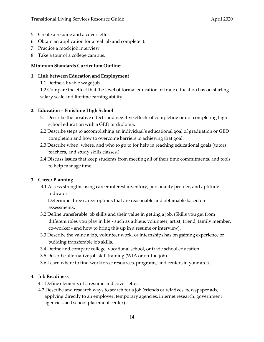- 5. Create a resume and a cover letter.
- 6. Obtain an application for a real job and complete it.
- 7. Practice a mock job interview.
- 8. Take a tour of a college campus.

#### **Minimum Standards Curriculum Outline:**

#### **1. Link between Education and Employment**

1.1 Define a livable wage job.

1.2 Compare the effect that the level of formal education or trade education has on starting salary scale and lifetime earning ability.

#### **2. Education – Finishing High School**

- 2.1 Describe the positive effects and negative effects of completing or not completing high school education with a GED or diploma.
- 2.2 Describe steps to accomplishing an individual's educational goal of graduation or GED completion and how to overcome barriers to achieving that goal.
- 2.3 Describe when, where, and who to go to for help in reaching educational goals (tutors, teachers, and study skills classes.)
- 2.4 Discuss issues that keep students from meeting all of their time commitments, and tools to help manage time.

#### **3. Career Planning**

3.1 Assess strengths using career interest inventory, personality profiler, and aptitude indicator.

Determine three career options that are reasonable and obtainable based on assessments.

- 3.2 Define transferable job skills and their value in getting a job. (Skills you get from different roles you play in life - such as athlete, volunteer, artist, friend, family member, co-worker - and how to bring this up in a resume or interview).
- 3.3 Describe the value a job, volunteer work, or internships has on gaining experience or building transferable job skills.
- 3.4 Define and compare college, vocational school, or trade school education.
- 3.5 Describe alternative job skill training (WIA or on-the-job).
- 3.6 Learn where to find workforce: resources, programs, and centers in your area.

#### **4. Job Readiness**

4.1 Define elements of a resume and cover letter.

4.2 Describe and research ways to search for a job (friends or relatives, newspaper ads, applying directly to an employer, temporary agencies, internet research, government agencies, and school placement center).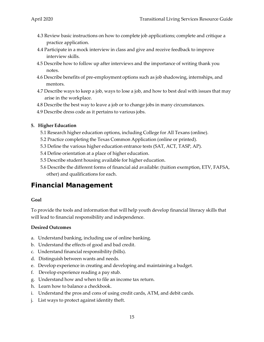- 4.3 Review basic instructions on how to complete job applications; complete and critique a practice application.
- 4.4 Participate in a mock interview in class and give and receive feedback to improve interview skills.
- 4.5 Describe how to follow up after interviews and the importance of writing thank you notes.
- 4.6 Describe benefits of pre-employment options such as job shadowing, internships, and mentors.
- 4.7 Describe ways to keep a job, ways to lose a job, and how to best deal with issues that may arise in the workplace.
- 4.8 Describe the best way to leave a job or to change jobs in many circumstances.
- 4.9 Describe dress code as it pertains to various jobs.

#### **5. Higher Education**

- 5.1 Research higher education options, including College for All Texans (online).
- 5.2 Practice completing the Texas Common Application (online or printed).
- 5.3 Define the various higher education entrance tests (SAT, ACT, TASP, AP).
- 5.4 Define orientation at a place of higher education.
- 5.5 Describe student housing available for higher education.
- 5.6 Describe the different forms of financial aid available: (tuition exemption, ETV, FAFSA, other) and qualifications for each.

### <span id="page-20-0"></span>**Financial Management**

#### **Goal**

To provide the tools and information that will help youth develop financial literacy skills that will lead to financial responsibility and independence.

#### **Desired Outcomes**

- a. Understand banking, including use of online banking.
- b. Understand the effects of good and bad credit.
- c. Understand financial responsibility (bills).
- d. Distinguish between wants and needs.
- e. Develop experience in creating and developing and maintaining a budget.
- f. Develop experience reading a pay stub.
- g. Understand how and when to file an income tax return.
- h. Learn how to balance a checkbook.
- i. Understand the pros and cons of using credit cards, ATM, and debit cards.
- j. List ways to protect against identity theft.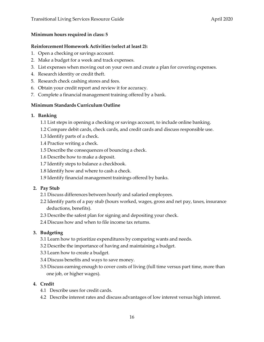#### **Minimum hours required in class: 5**

#### **Reinforcement Homework Activities (select at least 2):**

- 1. Open a checking or savings account.
- 2. Make a budget for a week and track expenses.
- 3. List expenses when moving out on your own and create a plan for covering expenses.
- 4. Research identity or credit theft.
- 5. Research check cashing stores and fees.
- 6. Obtain your credit report and review it for accuracy.
- 7. Complete a financial management training offered by a bank.

#### **Minimum Standards Curriculum Outline**

#### **1. Banking**

- 1.1 List steps in opening a checking or savings account, to include online banking.
- 1.2 Compare debit cards, check cards, and credit cards and discuss responsible use.
- 1.3 Identify parts of a check.
- 1.4 Practice writing a check.
- 1.5 Describe the consequences of bouncing a check.
- 1.6 Describe how to make a deposit.
- 1.7 Identify steps to balance a checkbook.
- 1.8 Identify how and where to cash a check.
- 1.9 Identify financial management trainings offered by banks.

#### **2. Pay Stub**

- 2.1 Discuss differences between hourly and salaried employees.
- 2.2 Identify parts of a pay stub (hours worked, wages, gross and net pay, taxes, insurance deductions, benefits).
- 2.3 Describe the safest plan for signing and depositing your check.
- 2.4 Discuss how and when to file income tax returns.

#### **3. Budgeting**

- 3.1 Learn how to prioritize expenditures by comparing wants and needs.
- 3.2 Describe the importance of having and maintaining a budget.
- 3.3 Learn how to create a budget.
- 3.4 Discuss benefits and ways to save money.
- 3.5 Discuss earning enough to cover costs of living (full time versus part time, more than one job, or higher wages).

#### **4. Credit**

- 4.1 Describe uses for credit cards.
- 4.2 Describe interest rates and discuss advantages of low interest versus high interest.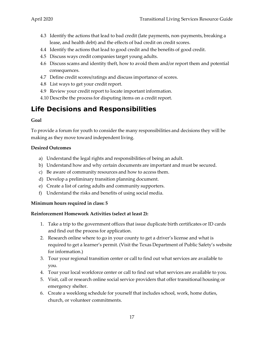- 4.3 Identify the actions that lead to bad credit (late payments, non-payments, breaking a lease, and health debt) and the effects of bad credit on credit scores.
- 4.4 Identify the actions that lead to good credit and the benefits of good credit.
- 4.5 Discuss ways credit companies target young adults.
- 4.6 Discuss scams and identity theft, how to avoid them and/or report them and potential consequences.
- 4.7 Define credit scores/ratings and discuss importance of scores.
- 4.8 List ways to get your credit report.
- 4.9 Review your credit report to locate important information.
- 4.10 Describe the process for disputing items on a credit report.

### <span id="page-22-0"></span>**Life Decisions and Responsibilities**

#### **Goal**

To provide a forum for youth to consider the many responsibilities and decisions they will be making as they move toward independent living.

#### **Desired Outcomes**

- a) Understand the legal rights and responsibilities of being an adult.
- b) Understand how and why certain documents are important and must be secured.
- c) Be aware of community resources and how to access them.
- d) Develop a preliminary transition planning document.
- e) Create a list of caring adults and community supporters.
- f) Understand the risks and benefits of using social media.

#### **Minimum hours required in class: 5**

#### **Reinforcement Homework Activities (select at least 2):**

- 1. Take a trip to the government offices that issue duplicate birth certificates or ID cards and find out the process for application.
- 2. Research online where to go in your county to get a driver's license and what is required to get a learner's permit. (Visit the Texas Department of Public Safety's website for information.)
- 3. Tour your regional transition center or call to find out what services are available to you.
- 4. Tour your local workforce center or call to find out what services are available to you.
- 5. Visit, call or research online social service providers that offer transitional housing or emergency shelter.
- 6. Create a weeklong schedule for yourself that includes school, work, home duties, church, or volunteer commitments.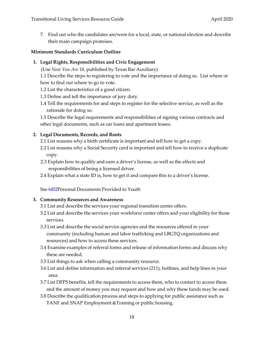7. Find out who the candidates are/were for a local, state, or national election and describe their main campaign promises.

#### **Minimum Standards Curriculum Outline**

#### **1. Legal Rights, Responsibilities and Civic Engagement**

(Use *Now You Are 18*, published by Texas Bar Auxiliary)

1.1 Describe the steps to registering to vote and the importance of doing so. List where or how to find out where to go to vote.

- 1.2 List the characteristics of a good citizen.
- 1.3 Define and tell the importance of jury duty.
- 1.4 Tell the requirements for and steps to register for the selective service, as well as the rationale for doing so.

1.5 Describe the legal requirements and responsibilities of signing various contracts and other legal documents, such as car loans and apartment leases.

#### **2. Legal Documents, Records, and Roots**

- 2.1 List reasons why a birth certificate is important and tell how to get a copy.
- 2.2 List reasons why a Social Security card is important and tell how to receive a duplicate copy.
- 2.3 Explain how to qualify and earn a driver's license, as well as the effects and responsibilities of being a licensed driver.
- 2.4 Explain what a state ID is, how to get it and compare this to a driver's license.

See [6452P](http://www.dfps.state.tx.us/handbooks/CPS/Files/CPS_pg_6400.asp#CPS_6411_31)ersonal Documents Provided to Youth

#### **3. Community Resources and Awareness**

- 3.1 List and describe the services your regional transition center offers.
- 3.2 List and describe the services your workforce center offers and your eligibility for those services.
- 3.3 List and describe the social service agencies and the resources offered in your community (including human and labor trafficking and LBGTQ organizations and resources) and how to access these services.
- 3.4 Examine examples of referral forms and release of information forms and discuss why these are needed.
- 3.5 List things to ask when calling a community resource.
- 3.6 List and define information and referral services (211), hotlines, and help lines in your area.
- 3.7 List DFPS benefits, tell the requirements to access them, who to contact to access them and the amount of money you may request and how and why these funds may be used.
- 3.8 Describe the qualification process and steps to applying for public assistance such as TANF and SNAP Employment &Training or public housing.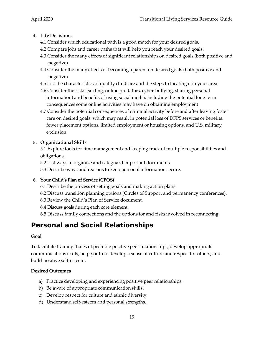#### **4. Life Decisions**

- 4.1 Consider which educational path is a good match for your desired goals.
- 4.2 Compare jobs and career paths that will help you reach your desired goals.
- 4.3 Consider the many effects of significant relationships on desired goals (both positive and negative).
- 4.4 Consider the many effects of becoming a parent on desired goals (both positive and negative).
- 4.5 List the characteristics of quality childcare and the steps to locating it in your area.
- 4.6 Consider the risks (sexting, online predators, cyber-bullying, sharing personal information) and benefits of using social media, including the potential long term consequences some online activities may have on obtaining employment
- 4.7 Consider the potential consequences of criminal activity before and after leaving foster care on desired goals, which may result in potential loss of DFPS services or benefits, fewer placement options, limited employment or housing options, and U.S. military exclusion.

#### **5. Organizational Skills**

5.1 Explore tools for time management and keeping track of multiple responsibilities and obligations.

- 5.2 List ways to organize and safeguard important documents.
- 5.3 Describe ways and reasons to keep personal information secure.

#### **6. Your Child's Plan of Service (CPOS)**

- 6.1 Describe the process of setting goals and making action plans.
- 6.2 Discuss transition planning options (Circles of Support and permanency conferences).
- 6.3 Review the Child's Plan of Service document.
- 6.4 Discuss goals during each core element.
- 6.5 Discuss family connections and the options for and risks involved in reconnecting.

## <span id="page-24-0"></span>**Personal and Social Relationships**

#### **Goal**

To facilitate training that will promote positive peer relationships, develop appropriate communications skills, help youth to develop a sense of culture and respect for others, and build positive self-esteem.

#### **Desired Outcomes**

- a) Practice developing and experiencing positive peer relationships.
- b) Be aware of appropriate communication skills.
- c) Develop respect for culture and ethnic diversity.
- d) Understand self-esteem and personal strengths.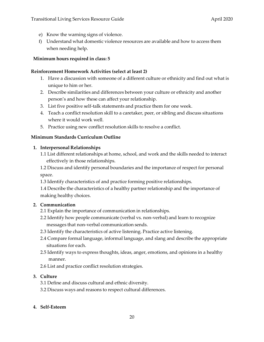- e) Know the warning signs of violence.
- f) Understand what domestic violence resources are available and how to access them when needing help.

#### **Minimum hours required in class: 5**

#### **Reinforcement Homework Activities (select at least 2)**

- 1. Have a discussion with someone of a different culture or ethnicity and find out what is unique to him or her.
- 2. Describe similarities and differences between your culture or ethnicity and another person's and how these can affect your relationship.
- 3. List five positive self-talk statements and practice them for one week.
- 4. Teach a conflict resolution skill to a caretaker, peer, or sibling and discuss situations where it would work well.
- 5. Practice using new conflict resolution skills to resolve a conflict.

#### **Minimum Standards Curriculum Outline**

#### **1. Interpersonal Relationships**

1.1 List different relationships at home, school, and work and the skills needed to interact effectively in those relationships.

1.2 Discuss and identify personal boundaries and the importance of respect for personal space.

1.3 Identify characteristics of and practice forming positive relationships.

1.4 Describe the characteristics of a healthy partner relationship and the importance of making healthy choices.

#### **2. Communication**

- 2.1 Explain the importance of communication in relationships.
- 2.2 Identify how people communicate (verbal vs. non-verbal) and learn to recognize messages that non-verbal communication sends.
- 2.3 Identify the characteristics of active listening. Practice active listening.
- 2.4 Compare formal language, informal language, and slang and describe the appropriate situations for each.
- 2.5 Identify ways to express thoughts, ideas, anger, emotions, and opinions in a healthy manner.
- 2.6 List and practice conflict resolution strategies.

#### **3. Culture**

- 3.1 Define and discuss cultural and ethnic diversity.
- 3.2 Discuss ways and reasons to respect cultural differences.

#### **4. Self-Esteem**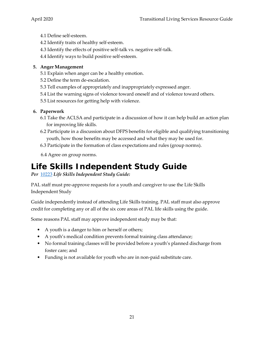- 4.1 Define self-esteem.
- 4.2 Identify traits of healthy self-esteem.
- 4.3 Identify the effects of positive self-talk vs. negative self-talk.
- 4.4 Identify ways to build positive self-esteem.

#### **5. Anger Management**

- 5.1 Explain when anger can be a healthy emotion.
- 5.2 Define the term de-escalation.
- 5.3 Tell examples of appropriately and inappropriately expressed anger.
- 5.4 List the warning signs of violence toward oneself and of violence toward others.
- 5.5 List resources for getting help with violence.

#### **6. Paperwork**

- 6.1 Take the ACLSA and participate in a discussion of how it can help build an action plan for improving life skills.
- 6.2 Participate in a discussion about DFPS benefits for eligible and qualifying transitioning youth, how those benefits may be accessed and what they may be used for.
- 6.3 Participate in the formation of class expectations and rules (group norms).
- 6.4 Agree on group norms.

## <span id="page-26-0"></span>**Life Skills Independent Study Guide**

#### *Per* [10223](http://www.dfps.state.tx.us/handbooks/CPS/Files/CPS_pg_x10200.asp#CPS_10223) *Life Skills Independent Study Guide:*

PAL staff must pre-approve requests for a youth and caregiver to use the Life Skills Independent Study

Guide independently instead of attending Life Skills training. PAL staff must also approve credit for completing any or all of the six core areas of PAL life skills using the guide.

Some reasons PAL staff may approve independent study may be that:

- A youth is a danger to him or herself or others;
- A youth's medical condition prevents formal training class attendance;
- No formal training classes will be provided before a youth's planned discharge from foster care; and
- Funding is not available for youth who are in non-paid substitute care.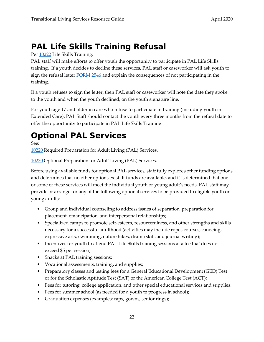## <span id="page-27-0"></span>**PAL Life Skills Training Refusal**

#### Per [10222](http://www.dfps.state.tx.us/handbooks/CPS/Files/CPS_pg_x10200.asp#CPS_10222) Life Skills Training:

PAL staff will make efforts to offer youth the opportunity to participate in PAL Life Skills training. If a youth decides to decline these services, PAL staff or caseworker will ask youth to sign the refusal letter **FORM 2546** and explain the consequences of not participating in the training.

If a youth refuses to sign the letter, then PAL staff or caseworker will note the date they spoke to the youth and when the youth declined, on the youth signature line.

For youth age 17 and older in care who refuse to participate in training (including youth in Extended Care), PAL Staff should contact the youth every three months from the refusal date to offer the opportunity to participate in PAL Life Skills Training.

## <span id="page-27-1"></span>**Optional PAL Services**

See:

[10220](http://www.dfps.state.tx.us/handbooks/CPS/Files/CPS_pg_x10200.asp#CPS_10220) Required Preparation for Adult Living (PAL) Services.

[10230](http://www.dfps.state.tx.us/handbooks/CPS/Files/CPS_pg_x10200.asp#CPS_10230) Optional Preparation for Adult Living (PAL) Services.

Before using available funds for optional PAL services, staff fully explores other funding options and determines that no other options exist. If funds are available, and it is determined that one or some of these services will meet the individual youth or young adult's needs, PAL staff may provide or arrange for any of the following optional services to be provided to eligible youth or young adults:

- Group and individual counseling to address issues of separation, preparation for placement, emancipation, and interpersonal relationships;
- Specialized camps to promote self-esteem, resourcefulness, and other strengths and skills necessary for a successful adulthood (activities may include ropes courses, canoeing, expressive arts, swimming, nature hikes, drama skits and journal writing);
- Incentives for youth to attend PAL Life Skills training sessions at a fee that does not exceed \$5 per session;
- Snacks at PAL training sessions;
- Vocational assessments, training, and supplies;
- Preparatory classes and testing fees for a General Educational Development (GED) Test or for the Scholastic Aptitude Test (SAT) or the American College Test (ACT);
- Fees for tutoring, college application, and other special educational services and supplies.
- Fees for summer school (as needed for a youth to progress in school);
- Graduation expenses (examples: caps, gowns, senior rings);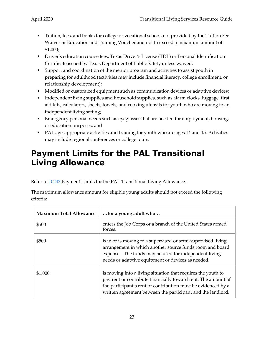- Tuition, fees, and books for college or vocational school, not provided by the Tuition Fee Waiver or Education and Training Voucher and not to exceed a maximum amount of \$1,000;
- Driver's education course fees, Texas Driver's License (TDL) or Personal Identification Certificate issued by Texas Department of Public Safety unless waived;
- Support and coordination of the mentor program and activities to assist youth in preparing for adulthood (activities may include financial literacy, college enrollment, or relationship development);
- Modified or customized equipment such as communication devices or adaptive devices;
- Independent living supplies and household supplies, such as alarm clocks, luggage, first aid kits, calculators, sheets, towels, and cooking utensils for youth who are moving to an independent living setting;
- Emergency personal needs such as eyeglasses that are needed for employment, housing, or education purposes; and
- PAL age-appropriate activities and training for youth who are ages 14 and 15. Activities may include regional conferences or college tours.

## <span id="page-28-0"></span>**Payment Limits for the PAL Transitional Living Allowance**

Refer to [10242](http://www.dfps.state.tx.us/handbooks/CPS/Files/CPS_pg_x10200.asp#CPS_10242) Payment Limits for the PAL Transitional Living Allowance.

| The maximum allowance amount for eligible young adults should not exceed the following |  |
|----------------------------------------------------------------------------------------|--|
| criteria:                                                                              |  |

| <b>Maximum Total Allowance</b> | for a young adult who                                                                                                                                                                                                                                         |
|--------------------------------|---------------------------------------------------------------------------------------------------------------------------------------------------------------------------------------------------------------------------------------------------------------|
| \$500                          | enters the Job Corps or a branch of the United States armed<br>forces.                                                                                                                                                                                        |
| \$500                          | is in or is moving to a supervised or semi-supervised living<br>arrangement in which another source funds room and board<br>expenses. The funds may be used for independent living<br>needs or adaptive equipment or devices as needed.                       |
| \$1,000                        | is moving into a living situation that requires the youth to<br>pay rent or contribute financially toward rent. The amount of<br>the participant's rent or contribution must be evidenced by a<br>written agreement between the participant and the landlord. |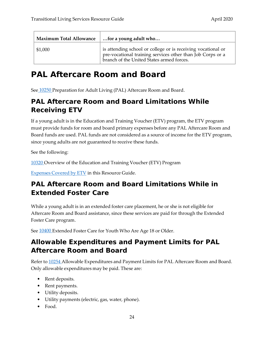| <b>Maximum Total Allowance</b> | for a young adult who                                                                                                                                                   |
|--------------------------------|-------------------------------------------------------------------------------------------------------------------------------------------------------------------------|
| \$1,000                        | is attending school or college or is receiving vocational or<br>pre-vocational training services other than Job Corps or a<br>branch of the United States armed forces. |

## <span id="page-29-0"></span>**PAL Aftercare Room and Board**

See [10250 P](http://www.dfps.state.tx.us/handbooks/CPS/Files/CPS_pg_x10200.asp#CPS_10250)reparation for Adult Living (PAL) Aftercare Room and Board.

## <span id="page-29-1"></span>**PAL Aftercare Room and Board Limitations While Receiving ETV**

If a young adult is in the Education and Training Voucher (ETV) program, the ETV program must provide funds for room and board primary expenses before any PAL Aftercare Room and Board funds are used. PAL funds are not considered as a source of income for the ETV program, since young adults are not guaranteed to receive these funds.

See the following:

[10320 O](http://www.dfps.state.tx.us/handbooks/CPS/Files/CPS_pg_x10300.asp#CPS_10320)verview of the Education and Training Voucher (ETV) Program

[Expenses](#page-48-2) Covered by ETV in this Resource Guide.

### <span id="page-29-2"></span>**PAL Aftercare Room and Board Limitations While in Extended Foster Care**

While a young adult is in an extended foster care placement, he or she is not eligible for Aftercare Room and Board assistance, since these services are paid for through the Extended Foster Care program.

See  $10400$  Extended Foster Care for Youth Who Are Age 18 or Older.

### <span id="page-29-3"></span>**Allowable Expenditures and Payment Limits for PAL Aftercare Room and Board**

Refer to [10254 A](http://www.dfps.state.tx.us/handbooks/CPS/Files/CPS_pg_x10200.asp#CPS_10254)llowable Expenditures and Payment Limits for PAL Aftercare Room and Board. Only allowable expenditures may be paid. These are:

- Rent deposits.
- Rent payments.
- Utility deposits.
- Utility payments (electric, gas, water, phone).
- Food.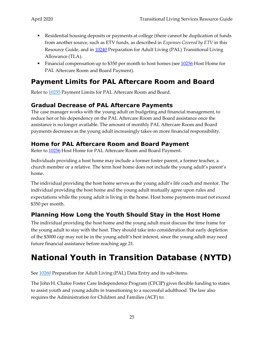- Residential housing deposits or payments at college (there cannot be duplication of funds from another source, such as ETV funds, as described in *Expenses Covered by ETV* in this Resource Guide, and in [10240](http://www.dfps.state.tx.us/handbooks/CPS/Files/CPS_pg_x10200.asp#CPS_10240) Preparation for Adult Living (PAL) Transitional Living Allowance (TLA).
- Financial compensation up to \$350 per month to host homes (see  $10256$  Host Home for PAL Aftercare Room and Board Payment).

### <span id="page-30-0"></span>**Payment Limits for PAL Aftercare Room and Board**

Refer to [10255](http://www.dfps.state.tx.us/handbooks/CPS/Files/CPS_pg_x10200.asp#CPS_10255) Payment Limits for PAL Aftercare Room and Board.

#### <span id="page-30-1"></span>**Gradual Decrease of PAL Aftercare Payments**

The case manager works with the young adult on budgeting and financial management, to reduce her or his dependency on the PAL Aftercare Room and Board assistance once the assistance is no longer available. The amount of monthly PAL Aftercare Room and Board payments decreases as the young adult increasingly takes on more financial responsibility.

#### <span id="page-30-2"></span>**Home for PAL Aftercare Room and Board Payment**

Refer to [10256](http://www.dfps.state.tx.us/handbooks/CPS/Files/CPS_pg_x10200.asp#CPS_10256) Host Home for PAL Aftercare Room and Board Payment.

Individuals providing a host home may include a former foster parent, a former teacher, a church member or a relative. The term host home does not include the young adult's parent's home.

The individual providing the host home serves as the young adult's life coach and mentor. The individual providing the host home and the young adult mutually agree upon rules and expectations while the young adult is living in the home. Host home payments must not exceed \$350 per month.

#### <span id="page-30-3"></span>**Planning How Long the Youth Should Stay in the Host Home**

The individual providing the host home and the young adult must discuss the time frame for the young adult to stay with the host. They should take into consideration that early depletion of the \$3000 cap may not be in the young adult's best interest, since the young adult may need future financial assistance before reaching age 21.

## <span id="page-30-4"></span>**National Youth in Transition Database (NYTD)**

See  $10260$  Preparation for Adult Living (PAL) Data Entry and its sub-items.

The John H. Chafee Foster Care Independence Program (CFCIP) gives flexible funding to states to assist youth and young adults in transitioning to a successful adulthood. The law also requires the Administration for Children and Families (ACF) to: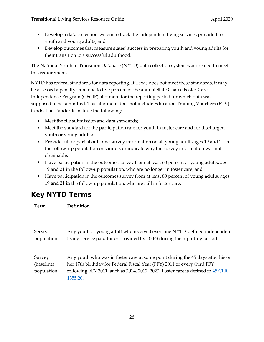- Develop a data collection system to track the independent living services provided to youth and young adults; and
- Develop outcomes that measure states' success in preparing youth and young adults for their transition to a successful adulthood.

The National Youth in Transition Database (NYTD) data collection system was created to meet this requirement.

NYTD has federal standards for data reporting. If Texas does not meet these standards, it may be assessed a penalty from one to five percent of the annual State Chafee Foster Care Independence Program (CFCIP) allotment for the reporting period for which data was supposed to be submitted. This allotment does not include Education Training Vouchers (ETV) funds. The standards include the following:

- Meet the file submission and data standards;
- Meet the standard for the participation rate for youth in foster care and for discharged youth or young adults;
- Provide full or partial outcome survey information on all young adults ages 19 and 21 in the follow-up population or sample, or indicate why the survey information was not obtainable;
- Have participation in the outcomes survey from at least 60 percent of young adults, ages 19 and 21 in the follow-up population, who are no longer in foster care; and
- Have participation in the outcomes survey from at least 80 percent of young adults, ages 19 and 21 in the follow-up population, who are still in foster care.

| Term       | <b>Definition</b>                                                              |
|------------|--------------------------------------------------------------------------------|
|            |                                                                                |
|            |                                                                                |
| Served     | Any youth or young adult who received even one NYTD-defined independent        |
| population | living service paid for or provided by DFPS during the reporting period.       |
|            |                                                                                |
| Survey     | Any youth who was in foster care at some point during the 45 days after his or |
| (baseline) | her 17th birthday for Federal Fiscal Year (FFY) 2011 or every third FFY        |
| population | following FFY 2011, such as 2014, 2017, 2020. Foster care is defined in 45 CFR |
|            | 1355.20.                                                                       |

## <span id="page-31-0"></span>**Key NYTD Terms**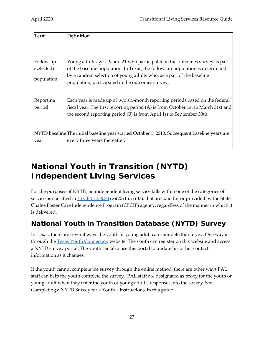| Term       | Definition                                                                                                                                                  |
|------------|-------------------------------------------------------------------------------------------------------------------------------------------------------------|
|            |                                                                                                                                                             |
| Follow-up  | Young adults ages 19 and 21 who participated in the outcomes survey as part                                                                                 |
| (selected) | of the baseline population. In Texas, the follow-up population is determined                                                                                |
| population | by a random selection of young adults who, as a part of the baseline<br>population, participated in the outcomes survey.                                    |
| Reporting  | Each year is made up of two six-month reporting periods based on the federal                                                                                |
| period     | fiscal year. The first reporting period (A) is from October 1st to March 31st and<br>the second reporting period $(B)$ is from April 1st to September 30th. |
|            | NYTD baseline The initial baseline year started October 1, 2010. Subsequent baseline years are                                                              |
| year       | every three years thereafter.                                                                                                                               |

## <span id="page-32-0"></span>**National Youth in Transition (NYTD) Independent Living Services**

For the purposes of NYTD, an independent living service falls within one of the categories of service as specified in  $45$  CFR 1356.83 (g)(20) thru (33), that are paid for or provided by the State Chafee Foster Care Independence Program (CFCIP) agency, regardless of the manner in which it is delivered.

## <span id="page-32-1"></span>**National Youth in Transition Database (NYTD) Survey**

In Texas, there are several ways the youth or young adult can complete the survey. One way is through the **[Texas Youth Connection](https://www.dfps.state.tx.us/txyouth/NYTD/default.asp)** website. The youth can register on this website and access a NYTD survey portal. The youth can also use this portal to update his or her contact information as it changes.

If the youth cannot complete the survey through the online method, there are other ways PAL staff can help the youth complete the survey. PAL staff are designated as proxy for the youth or young adult when they enter the youth or young adult's responses into the survey. See Completing a NYTD Survey for a Youth – Instructions, in this guide.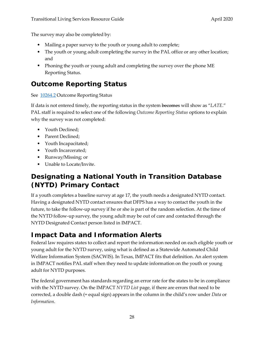The survey may also be completed by:

- Mailing a paper survey to the youth or young adult to complete;
- The youth or young adult completing the survey in the PAL office or any other location; and
- Phoning the youth or young adult and completing the survey over the phone ME Reporting Status.

## <span id="page-33-0"></span>**Outcome Reporting Status**

See [10264.2](http://www.dfps.state.tx.us/handbooks/CPS/Files/CPS_pg_x10200.asp#CPS_10264_2) Outcome Reporting Status

If data is not entered timely, the reporting status in the system becomes will show as "*LATE*." PAL staff is required to select one of the following *Outcome Reporting Status* options to explain why the survey was not completed:

- Youth Declined;
- Parent Declined;
- Youth Incapacitated;
- Youth Incarcerated;
- Runway/Missing; or
- Unable to Locate/Invite.

### <span id="page-33-1"></span>**Designating a National Youth in Transition Database (NYTD) Primary Contact**

If a youth completes a baseline survey at age 17, the youth needs a designated NYTD contact. Having a designated NYTD contact ensures that DFPS has a way to contact the youth in the future, to take the follow-up survey if he or she is part of the random selection. At the time of the NYTD follow-up survey, the young adult may be out of care and contacted through the NYTD Designated Contact person listed in IMPACT.

### <span id="page-33-2"></span>**Impact Data and Information Alerts**

Federal law requires states to collect and report the information needed on each eligible youth or young adult for the NYTD survey, using what is defined as a Statewide Automated Child Welfare Information System (SACWIS). In Texas, IMPACT fits that definition. An alert system in IMPACT notifies PAL staff when they need to update information on the youth or young adult for NYTD purposes.

The federal government has standards regarding an error rate for the states to be in compliance with the NYTD survey. On the IMPACT *NYTD List* page, if there are errors that need to be corrected, a double dash (= equal sign) appears in the column in the child's row under *Data* or *Information*.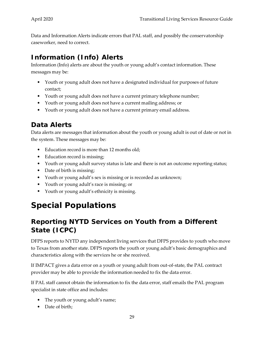Data and Information Alerts indicate errors that PAL staff, and possibly the conservatorship caseworker, need to correct.

## <span id="page-34-0"></span>**Information (Info) Alerts**

Information (Info) alerts are about the youth or young adult's contact information. These messages may be:

- Youth or young adult does not have a designated individual for purposes of future contact;
- Youth or young adult does not have a current primary telephone number;
- Youth or young adult does not have a current mailing address; or
- Youth or young adult does not have a current primary email address.

### <span id="page-34-1"></span>**Data Alerts**

Data alerts are messages that information about the youth or young adult is out of date or not in the system. These messages may be:

- Education record is more than 12 months old;
- Education record is missing;
- Youth or young adult survey status is late and there is not an outcome reporting status;
- Date of birth is missing;
- Youth or young adult's sex is missing or is recorded as unknown;
- Youth or young adult's race is missing; or
- Youth or young adult's ethnicity is missing.

## <span id="page-34-2"></span>**Special Populations**

## <span id="page-34-3"></span>**Reporting NYTD Services on Youth from a Different State (ICPC)**

DFPS reports to NYTD any independent living services that DFPS provides to youth who move to Texas from another state. DFPS reports the youth or young adult's basic demographics and characteristics along with the services he or she received.

If IMPACT gives a data error on a youth or young adult from out-of-state, the PAL contract provider may be able to provide the information needed to fix the data error.

If PAL staff cannot obtain the information to fix the data error, staff emails the PAL program specialist in state office and includes:

- The youth or young adult's name;
- Date of birth: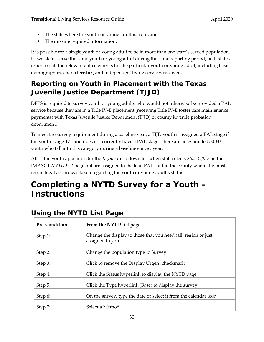- The state where the youth or young adult is from; and
- The missing required information.

It is possible for a single youth or young adult to be in more than one state's served population. If two states serve the same youth or young adult during the same reporting period, both states report on all the relevant data elements for the particular youth or young adult, including basic demographics, characteristics, and independent living services received.

## <span id="page-35-0"></span>**Reporting on Youth in Placement with the Texas Juvenile Justice Department (TJJD)**

DFPS is required to survey youth or young adults who would not otherwise be provided a PAL service because they are in a Title IV-E placement (receiving Title IV-E foster care maintenance payments) with Texas Juvenile Justice Department (TJJD) or county juvenile probation department.

To meet the survey requirement during a baseline year, a TJJD youth is assigned a PAL stage if the youth is age 17 - and does not currently have a PAL stage. There are an estimated 50-60 youth who fall into this category during a baseline survey year.

All of the youth appear under the *Region* drop down list when staff selects *State Office* on the IMPACT *NYTD List* page but are assigned to the lead PAL staff in the county where the most recent legal action was taken regarding the youth or young adult's status.

## <span id="page-35-1"></span>**Completing a NYTD Survey for a Youth – Instructions**

| Pre-Condition | From the NYTD list page                                                            |
|---------------|------------------------------------------------------------------------------------|
| Step 1:       | Change the display to those that you need (all, region or just<br>assigned to you) |
| Step 2:       | Change the population type to Survey                                               |
| Step 3:       | Click to remove the Display Urgent checkmark                                       |
| Step 4:       | Click the Status hyperlink to display the NYTD page                                |
| Step 5:       | Click the Type hyperlink (Base) to display the survey                              |
| Step 6:       | On the survey, type the date or select it from the calendar icon                   |
| Step 7:       | Select a Method                                                                    |

## <span id="page-35-2"></span>**Using the NYTD List Page**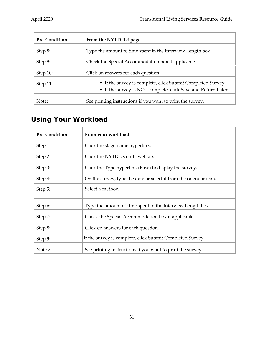| <b>Pre-Condition</b> | From the NYTD list page                                                                                                    |
|----------------------|----------------------------------------------------------------------------------------------------------------------------|
| Step 8:              | Type the amount to time spent in the Interview Length box                                                                  |
| Step 9:              | Check the Special Accommodation box if applicable                                                                          |
| Step $10$ :          | Click on answers for each question                                                                                         |
| Step $11$ :          | • If the survey is complete, click Submit Completed Survey<br>• If the survey is NOT complete, click Save and Return Later |
| Note:                | See printing instructions if you want to print the survey.                                                                 |

## <span id="page-36-0"></span>**Using Your Workload**

| <b>Pre-Condition</b> | From your workload                                                |
|----------------------|-------------------------------------------------------------------|
| Step 1:              | Click the stage name hyperlink.                                   |
| Step 2:              | Click the NYTD second level tab.                                  |
| Step 3:              | Click the Type hyperlink (Base) to display the survey.            |
| Step 4:              | On the survey, type the date or select it from the calendar icon. |
| Step 5:              | Select a method.                                                  |
|                      |                                                                   |
| Step 6:              | Type the amount of time spent in the Interview Length box.        |
| Step 7:              | Check the Special Accommodation box if applicable.                |
| Step 8:              | Click on answers for each question.                               |
| Step 9:              | If the survey is complete, click Submit Completed Survey.         |
| Notes:               | See printing instructions if you want to print the survey.        |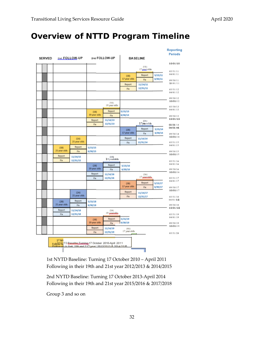## <span id="page-37-0"></span>**Overview of NTTD Program Timeline**

|               |  |                      |                      |                      |                                                                                                                          |                      |                      |                      | <b>Reporting</b><br><b>Periods</b> |
|---------------|--|----------------------|----------------------|----------------------|--------------------------------------------------------------------------------------------------------------------------|----------------------|----------------------|----------------------|------------------------------------|
| <b>SERVED</b> |  | 20d FOLLOW-UP        |                      | 2nd FOLLOW-UP        |                                                                                                                          |                      | <b>BASELINE</b>      |                      |                                    |
|               |  |                      |                      |                      |                                                                                                                          | [AA]<br>17 seatolds  |                      | 10/01/10<br>03/31/11 |                                    |
|               |  |                      |                      |                      |                                                                                                                          | (1B)<br>17 year olds | Report<br>Fix        | 5/15/11<br>6/30/11   | 04/01/11<br>09/30/11               |
|               |  |                      |                      |                      |                                                                                                                          | Report<br>Flx        | 11/14/11<br>12/31/11 |                      | 10/01/11<br>03/31/12               |
|               |  |                      |                      |                      |                                                                                                                          |                      |                      |                      | 04/01/12<br>09/30/12               |
|               |  |                      |                      |                      | (1A)<br>19 year olds                                                                                                     |                      |                      |                      | 10/01/12<br>03/30/13               |
|               |  |                      |                      | (1B)<br>19 year olds | Report<br>Fix                                                                                                            | 5/15/13<br>6/30/13   |                      |                      | 04/01/13<br>09/30/13               |
|               |  |                      |                      | Report<br>Fix        | 11/14/13<br>12/31/13                                                                                                     |                      | (24)<br>17yearolds   | 10/01/12<br>03/31/14 |                                    |
|               |  |                      |                      |                      |                                                                                                                          | (28)<br>17 year olds | Report               | 5/15/14<br>6/30/14   | 04/01/41                           |
|               |  |                      | (1A)                 |                      |                                                                                                                          | Report               | Fix<br>11/14/14      |                      | 09/30/14<br>10/01/14               |
|               |  |                      | 21 year olds         |                      |                                                                                                                          | Fix                  | 12/31/14             |                      | 03/31/15                           |
|               |  | (18)<br>21 year olds | Report<br>Fix        | 5/15/15<br>6/30/15   |                                                                                                                          |                      |                      |                      | 04/01/15<br>09/30/15               |
|               |  | Report<br>Fix        | 11/14/15<br>12/31/15 |                      | $19$ yearolds                                                                                                            |                      |                      |                      | 10/01/15<br>03/31/16               |
|               |  |                      |                      | (2B)<br>19 year olds | Report<br>Fix                                                                                                            | 5/15/16<br>6/30/16   |                      |                      | 04/01/16<br>09/30/16               |
|               |  |                      |                      | Report<br>Fix        | 11/14/16<br>12/31/16                                                                                                     |                      | (3A)<br>17 acqualds. | 10/01/16<br>03/31/17 |                                    |
|               |  |                      |                      |                      |                                                                                                                          | (38)<br>17 year olds | Report<br>Fix        | 5/15/17<br>6/30/17   | 04/01/17<br>09/30/17               |
|               |  |                      | (2A)<br>21 year olds |                      |                                                                                                                          | Report<br>Flx        | 11/14/17<br>12/31/17 |                      | 10/01/17<br>03/31/18               |
|               |  | (28)<br>21 year olds | Report<br>Fix        | 5/15/18<br>6/30/18   |                                                                                                                          |                      |                      |                      | 04/01/18<br>09/30/18<br>10/01/18   |
|               |  | Report<br>Fix        | 11/14/18<br>12/31/18 |                      | AA <br>19 scenalds                                                                                                       |                      |                      |                      | 03/31/19                           |
|               |  |                      |                      | (38)<br>19 year olds | Report<br>Fix                                                                                                            | 5/15/19<br>6/30/19   |                      |                      | 04/01/19<br>09/30/19               |
|               |  |                      |                      | Report<br>Fix        | 11/14/19<br>12/31/19                                                                                                     | (4A)<br>17 year olds |                      |                      | 10/01/19<br>03/31/20               |
|               |  | 1 <sup>st</sup> NY   |                      |                      | Follow Nil TD BaselberTussing 17 October 2010-April 2011<br>Follow-un in their 19th and 21" I war: 2012/2013 & 2014/2015 |                      |                      |                      |                                    |
|               |  |                      |                      |                      |                                                                                                                          |                      |                      |                      |                                    |

1st NYTD Baseline: Turning 17 October 2010 – April 2011 Following in their 19th and 21st year 2012/2013 & 2014/2015

2nd NYTD Baseline: Turning 17 October 2013-April 2014 Following in their 19th and 21st year 2015/2016 & 2017/2018

Group 3 and so on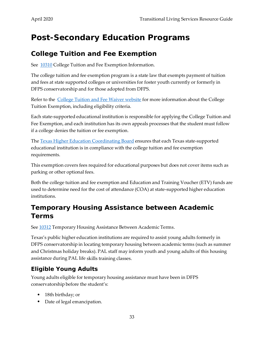## <span id="page-38-0"></span>**Post-Secondary Education Programs**

### <span id="page-38-1"></span>**College Tuition and Fee Exemption**

See [10310](http://www.dfps.state.tx.us/handbooks/CPS/Files/CPS_pg_x10300.asp#CPS_10310) College Tuition and Fee Exemption Information.

The college tuition and fee exemption program is a state law that exempts payment of tuition and fees at state supported colleges or universities for foster youth currently or formerly in DFPS conservatorship and for those adopted from DFPS.

Refer to the [College Tuition and Fee Waiver website](http://www.dfps.state.tx.us/Child_Protection/Youth_and_Young_Adults/Education/state_college_tuition_waiver.asp) for more information about the College Tuition Exemption, including eligibility criteria.

Each state-supported educational institution is responsible for applying the College Tuition and Fee Exemption, and each institution has its own appeals processes that the student must follow if a college denies the tuition or fee exemption.

The [Texas Higher Education Coordinating Board](http://www.thecb.state.tx.us/) ensures that each Texas state-supported educational institution is in compliance with the college tuition and fee exemption requirements.

This exemption covers fees required for educational purposes but does not cover items such as parking or other optional fees.

Both the college tuition and fee exemption and Education and Training Voucher (ETV) funds are used to determine need for the cost of attendance (COA) at state-supported higher education institutions.

## <span id="page-38-2"></span>**Temporary Housing Assistance between Academic Terms**

See [10312](http://www.dfps.state.tx.us/handbooks/CPS/Files/CPS_pg_x10300.asp#CPS_10312) Temporary Housing Assistance Between Academic Terms.

Texas's public higher education institutions are required to assist young adults formerly in DFPS conservatorship in locating temporary housing between academic terms (such as summer and Christmas holiday breaks). PAL staff may inform youth and young adults of this housing assistance during PAL life skills training classes.

### <span id="page-38-3"></span>**Eligible Young Adults**

Young adults eligible for temporary housing assistance must have been in DFPS conservatorship before the student's:

- 18th birthday; or
- Date of legal emancipation.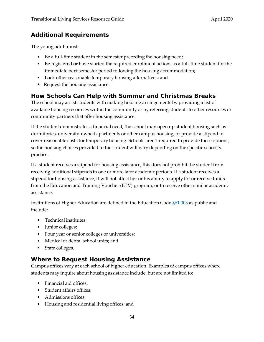#### <span id="page-39-0"></span>**Additional Requirements**

The young adult must:

- Be a full-time student in the semester preceding the housing need;
- Be registered or have started the required enrollment actions as a full-time student for the immediate next semester period following the housing accommodation;
- Lack other reasonable temporary housing alternatives; and
- Request the housing assistance.

#### <span id="page-39-1"></span>**How Schools Can Help with Summer and Christmas Breaks**

The school may assist students with making housing arrangements by providing a list of available housing resources within the community or by referring students to other resources or community partners that offer housing assistance.

If the student demonstrates a financial need, the school may open up student housing such as dormitories, university-owned apartments or other campus housing, or provide a stipend to cover reasonable costs for temporary housing. Schools aren't required to provide these options, so the housing choices provided to the student will vary depending on the specific school's practice.

If a student receives a stipend for housing assistance, this does not prohibit the student from receiving additional stipends in one or more later academic periods. If a student receives a stipend for housing assistance, it will not affect her or his ability to apply for or receive funds from the Education and Training Voucher (ETV) program, or to receive other similar academic assistance.

Institutions of Higher Education are defined in the Education Code [§61.003 a](http://www.statutes.legis.state.tx.us/Docs/ED/htm/ED.61.htm#61.003)s public and include:

- Technical institutes:
- Junior colleges;
- Four year or senior colleges or universities;
- Medical or dental school units; and
- State colleges.

#### <span id="page-39-2"></span>**Where to Request Housing Assistance**

Campus offices vary at each school of higher education. Examples of campus offices where students may inquire about housing assistance include, but are not limited to:

- Financial aid offices:
- Student affairs offices;
- Admissions offices;
- Housing and residential living offices; and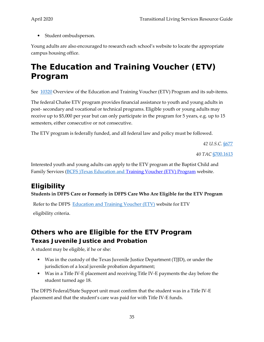• Student ombudsperson.

Young adults are also encouraged to research each school's website to locate the appropriate campus housing office.

## <span id="page-40-0"></span>**The Education and Training Voucher (ETV) Program**

See [10320](http://www.dfps.state.tx.us/handbooks/CPS/Files/CPS_pg_x10300.asp#CPS_10320) Overview of the Education and Training Voucher (ETV) Program and its sub-items.

The federal Chafee ETV program provides financial assistance to youth and young adults in post- secondary and vocational or technical programs. Eligible youth or young adults may receive up to \$5,000 per year but can only participate in the program for 5 years, e.g. up to 15 semesters, either consecutive or not consecutive.

The ETV program is federally funded, and all federal law and policy must be followed.

*42 U.S.C.* [§677](https://www.congress.gov/bill/116th-congress/senate-bill/3025/text?format=txt&r=1&s=1)

*40 TAC* [§700.1613](https://texreg.sos.state.tx.us/public/readtac$ext.TacPage?sl=R&app=9&p_dir=&p_rloc=&p_tloc=&p_ploc=&pg=1&p_tac=&ti=40&pt=19&ch=700&rl=1613)

Interested youth and young adults can apply to the ETV program at the Baptist Child and Family Services [\(BCFS \)Texas Education and](https://discoverbcfs.net/texasetv) Training Voucher (ETV) [Program](https://discoverbcfs.net/texasetv) website.

## <span id="page-40-1"></span>**Eligibility**

#### **Students in DFPS Care or Formerly in DFPS Care Who Are Eligible for the ETV Program**

Refer to the DFPS [Education and Training Voucher \(ETV\)](https://www.dfps.state.tx.us/Child_Protection/Youth_and_Young_Adults/Education/ETV.asp) website for ETV eligibility criteria.

### <span id="page-40-3"></span><span id="page-40-2"></span>**Others who are Eligible for the ETV Program Texas Juvenile Justice and Probation**

A student may be eligible, if he or she:

- Was in the custody of the Texas Juvenile Justice Department (TJJD), or under the jurisdiction of a local juvenile probation department;
- Was in a Title IV-E placement and receiving Title IV-E payments the day before the student turned age 18.

The DFPS Federal/State Support unit must confirm that the student was in a Title IV-E placement and that the student's care was paid for with Title IV-E funds.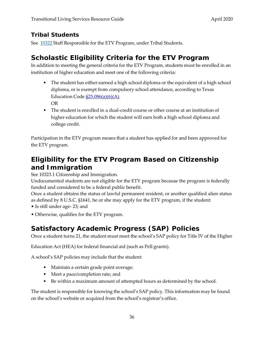### <span id="page-41-0"></span>**Tribal Students**

See [10322](http://www.dfps.state.tx.us/handbooks/CPS/Files/CPS_pg_x10300.asp#CPS_10322) Staff Responsible for the ETV Program, under Tribal Students.

## <span id="page-41-1"></span>**Scholastic Eligibility Criteria for the ETV Program**

In addition to meeting the general criteria for the ETV Program, students must be enrolled in an institution of higher education and meet one of the following criteria:

- The student has either earned a high school diploma or the equivalent of a high school diploma, or is exempt from compulsory school attendance, according to Texas Education Code  $$25.086(a)(6)(A)$ . OR
- The student is enrolled in a dual-credit course or other course at an institution of higher education for which the student will earn both a high school diploma and college credit.

Participation in the ETV program means that a student has applied for and been approved for the ETV program.

## **Eligibility for the ETV Program Based on Citizenship and Immigration**

See 10323.1 Citizenship and Immigration.

Undocumented students are not eligible for the ETV program because the program is federally funded and considered to be a federal public benefit.

Once a student obtains the status of lawful permanent resident, or another qualified alien status as defined by 8 U.S.C. §1641, he or she may apply for the ETV program, if the student:

• Is still under age- 23; and

• Otherwise, qualifies for the ETV program.

## <span id="page-41-2"></span>**Satisfactory Academic Progress (SAP) Policies**

Once a student turns 21, the student must meet the school's SAP policy for Title IV of the Higher

Education Act (HEA) for federal financial aid (such as Pell grants).

A school's SAP policies may include that the student:

- Maintain a certain grade point average;
- Meet a pace/completion rate; and
- Be within a maximum amount of attempted hours as determined by the school.

The student is responsible for knowing the school's SAP policy. This information may be found on the school's website or acquired from the school's registrar's office.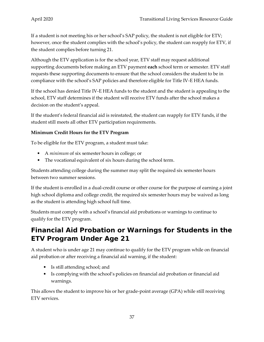If a student is not meeting his or her school's SAP policy, the student is not eligible for ETV; however, once the student complies with the school's policy, the student can reapply for ETV, if the student complies before turning 21.

Although the ETV application is for the school year, ETV staff may request additional supporting documents before making an ETV payment **each** school term or semester. ETV staff requests these supporting documents to ensure that the school considers the student to be in compliance with the school's SAP policies and therefore eligible for Title IV-E HEA funds.

If the school has denied Title IV-E HEA funds to the student and the student is appealing to the school, ETV staff determines if the student will receive ETV funds after the school makes a decision on the student's appeal.

If the student's federal financial aid is reinstated, the student can reapply for ETV funds, if the student still meets all other ETV participation requirements.

#### **Minimum Credit Hours for the ETV Program**

To be eligible for the ETV program, a student must take:

- A *minimum* of six semester hours in college; or
- The vocational equivalent of six hours during the school term.

Students attending college during the summer may split the required six semester hours between two summer sessions.

If the student is enrolled in a dual-credit course or other course for the purpose of earning a joint high school diploma and college credit, the required six semester hours may be waived as long as the student is attending high school full time.

Students must comply with a school's financial aid probations or warnings to continue to qualify for the ETV program.

## <span id="page-42-0"></span>**Financial Aid Probation or Warnings for Students in the ETV Program Under Age 21**

A student who is under age 21 may continue to qualify for the ETV program while on financial aid probation or after receiving a financial aid warning, if the student:

- Is still attending school; and
- Is complying with the school's policies on financial aid probation or financial aid warnings.

This allows the student to improve his or her grade-point average (GPA) while still receiving ETV services.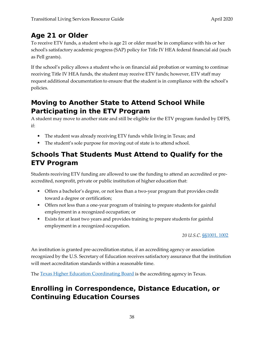## <span id="page-43-0"></span>**Age 21 or Older**

To receive ETV funds, a student who is age 21 or older must be in compliance with his or her school's satisfactory academic progress (SAP) policy for Title IV HEA federal financial aid (such as Pell grants).

If the school's policy allows a student who is on financial aid probation or warning to continue receiving Title IV HEA funds, the student may receive ETV funds; however, ETV staff may request additional documentation to ensure that the student is in compliance with the school's policies.

## <span id="page-43-1"></span>**Moving to Another State to Attend School While Participating in the ETV Program**

A student may move to another state and still be eligible for the ETV program funded by DFPS, if:

- The student was already receiving ETV funds while living in Texas; and
- The student's sole purpose for moving out of state is to attend school.

## <span id="page-43-2"></span>**Schools That Students Must Attend to Qualify for the ETV Program**

Students receiving ETV funding are allowed to use the funding to attend an accredited or preaccredited, nonprofit, private or public institution of higher education that:

- Offers a bachelor's degree, or not less than a two-year program that provides credit toward a degree or certification;
- Offers not less than a one-year program of training to prepare students for gainful employment in a recognized occupation; or
- Exists for at least two years and provides training to prepare students for gainful employment in a recognized occupation.

*20 U.S.C.* [§§1001,](https://uscode.house.gov/view.xhtml?hl=false&edition=prelim&req=granuleid%3AUSC-prelim-title20-section1001&num=0&saved=%7CKHRpdGxlOjIwIHNlY3Rpb246MTAwMiBlZGl0aW9uOnByZWxpbSk%3D%7C%7C%7C0%7Cfalse%7Cprelim) [1002](https://uscode.house.gov/view.xhtml?hl=false&edition=prelim&req=granuleid%3AUSC-prelim-title20-section1002&num=0&saved=%7CKHRpdGxlOjIwIHNlY3Rpb246MTAwMiBlZGl0aW9uOnByZWxpbSk%3D%7C%7C%7C0%7Cfalse%7Cprelim)

An institution is granted pre-accreditation status, if an accrediting agency or association recognized by the U.S. Secretary of Education receives satisfactory assurance that the institution will meet accreditation standards within a reasonable time.

The Texas [Higher Education Coordinating Board](http://www.thecb.state.tx.us/) is the accrediting agency in Texas.

## <span id="page-43-3"></span>**Enrolling in Correspondence, Distance Education, or Continuing Education Courses**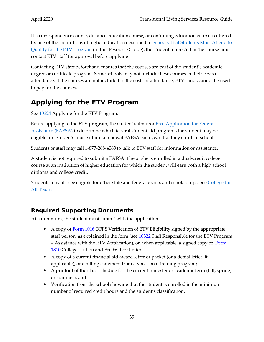If a correspondence course, distance education course, or continuing education course is offered by one of the institutions of higher education described in **Schools That [Students](#page-43-2) Must Attend to** Qualify for the ETV [Program](#page-43-2) (in this Resource Guide), the student interested in the course must contact ETV staff for approval before applying.

Contacting ETV staff beforehand ensures that the courses are part of the student's academic degree or certificate program. Some schools may not include these courses in their costs of attendance. If the courses are not included in the costs of attendance, ETV funds cannot be used to pay for the courses.

## <span id="page-44-0"></span>**Applying for the ETV Program**

See  $10324$  Applying for the ETV Program.

Before applying to the ETV program, the student submits a [Free Application for Federal](http://www.fafsa.ed.gov/index.htm)  [Assistance \(FAFSA\) t](http://www.fafsa.ed.gov/index.htm)o determine which federal student aid programs the student may be eligible for. Students must submit a renewal FAFSA each year that they enroll in school.

Students or staff may call 1-877-268-4063 to talk to ETV staff for information or assistance.

A student is not required to submit a FAFSA if he or she is enrolled in a dual-credit college course at an institution of higher education for which the student will earn both a high school diploma and college credit.

Students may also be eligible for other state and federal grants and scholarships. See College for [All](http://www.collegeforalltexans.com/apps/financialaid/tofa.cfm?Kind=GS) [Texans.](http://www.collegeforalltexans.com/apps/financialaid/tofa.cfm?Kind=GS)

#### <span id="page-44-1"></span>**Required Supporting Documents**

At a minimum, the student must submit with the application:

- A copy of [Form 1016](http://www.dfps.state.tx.us/Application/Forms/showFile.aspx?Name=K-908-1016.pdf) DFPS Verification of ETV Eligibility signed by the appropriate staff person, as explained in the form (see [10322](http://www.dfps.state.tx.us/handbooks/CPS/Files/CPS_pg_x10300.asp#CPS_10322) Staff Responsible for the ETV Program – Assistance with the ETV Application), or, when applicable, a signed copy of [Form](http://intranet.dfps.txnet.state.tx.us/application/Forms/showFile.aspx?NAME=K-908-1810.pdf)  [1810](http://intranet.dfps.txnet.state.tx.us/application/Forms/showFile.aspx?NAME=K-908-1810.pdf) College Tuition and Fee Waiver Letter;
- A copy of a current financial aid award letter or packet (or a denial letter, if applicable), or a billing statement from a vocational training program;
- A printout of the class schedule for the current semester or academic term (fall, spring, or summer); and
- Verification from the school showing that the student is enrolled in the minimum number of required credit hours and the student's classification.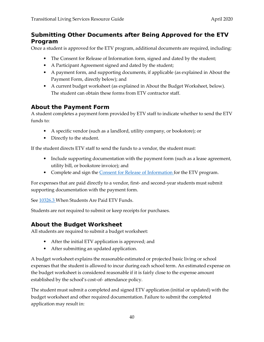#### <span id="page-45-0"></span>**Submitting Other Documents after Being Approved for the ETV Program**

Once a student is approved for the ETV program, additional documents are required, including:

- The [Consent for Release of Information f](http://intranet/Application/Forms/showFile.aspx?Name=5521.docx)orm, signed and dated by the student;
- A Participant Agreement signed and dated by the student;
- A payment form, and supporting documents, if applicable (as explained in About the Payment Form, directly below); and
- A current budget worksheet (as explained in About the Budget Worksheet, below). The student can obtain these forms from ETV contractor staff.

#### <span id="page-45-1"></span>**About the Payment Form**

A student completes a payment form provided by ETV staff to indicate whether to send the ETV funds to:

- A specific vendor (such as a landlord, utility company, or bookstore); or
- Directly to the student.

If the student directs ETV staff to send the funds to a vendor, the student must:

- Include supporting documentation with the payment form (such as a lease agreement, utility bill, or bookstore invoice); and
- Complete and sign the [Consent for Release of Information f](http://intranet/Application/Forms/showFile.aspx?Name=5521.docx)or the ETV program.

For expenses that are paid directly to a vendor, first- and second-year students must submit supporting documentation with the payment form.

See [10326.3 W](http://www.dfps.state.tx.us/handbooks/CPS/Files/CPS_pg_x10300.asp#CPS_10326_3)hen Students Are Paid ETV Funds.

Students are not required to submit or keep receipts for purchases.

#### <span id="page-45-2"></span>**About the Budget Worksheet**

All students are required to submit a budget worksheet:

- After the initial ETV application is approved; and
- After submitting an updated application.

A budget worksheet explains the reasonable estimated or projected basic living or school expenses that the student is allowed to incur during each school term. An estimated expense on the budget worksheet is considered reasonable if it is fairly close to the expense amount established by the school's cost-of- attendance policy.

The student must submit a completed and signed ETV application (initial or updated) with the budget worksheet and other required documentation. Failure to submit the completed application may result in: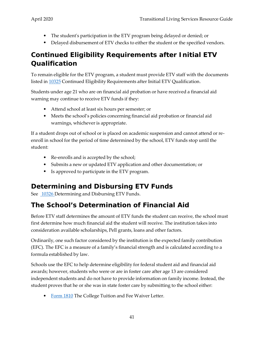- The student's participation in the ETV program being delayed or denied; or
- Delayed disbursement of ETV checks to either the student or the specified vendors.

## <span id="page-46-0"></span>**Continued Eligibility Requirements after Initial ETV Qualification**

To remain eligible for the ETV program, a student must provide ETV staff with the documents listed in [10325](http://www.dfps.state.tx.us/handbooks/CPS/Files/CPS_pg_x10300.asp#CPS_10325) Continued Eligibility Requirements after Initial ETV Qualification.

Students under age 21 who are on financial aid probation or have received a financial aid warning may continue to receive ETV funds if they:

- Attend school at least six hours per semester; or
- Meets the school's policies concerning financial aid probation or financial aid warnings, whichever is appropriate.

If a student drops out of school or is placed on academic suspension and cannot attend or reenroll in school for the period of time determined by the school, ETV funds stop until the student:

- Re-enrolls and is accepted by the school;
- Submits a new or updated ETV application and other documentation; or
- Is approved to participate in the ETV program.

## <span id="page-46-1"></span>**Determining and Disbursing ETV Funds**

See [10326 D](http://www.dfps.state.tx.us/handbooks/CPS/Files/CPS_pg_x10300.asp#CPS_10326)etermining and Disbursing ETV Funds.

## <span id="page-46-2"></span>**The School's Determination of Financial Aid**

Before ETV staff determines the amount of ETV funds the student can receive, the school must first determine how much financial aid the student will receive. The institution takes into consideration available scholarships, Pell grants, loans and other factors.

Ordinarily, one such factor considered by the institution is the expected family contribution (EFC). The EFC is a measure of a family's financial strength and is calculated according to a formula established by law.

Schools use the EFC to help determine eligibility for federal student aid and financial aid awards; however, students who were or are in foster care after age 13 are considered independent students and do not have to provide information on family income. Instead, the student proves that he or she was in state foster care by submitting to the school either:

• [Form 1810](http://intranet.dfps.txnet.state.tx.us/application/Forms/showFile.aspx?NAME=K-908-1810.pdf) The College Tuition and Fee Waiver Letter.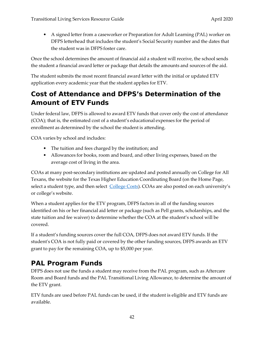• A signed letter from a caseworker or Preparation for Adult Learning (PAL) worker on DFPS letterhead that includes the student's Social Security number and the dates that the student was in DFPS foster care.

Once the school determines the amount of financial aid a student will receive, the school sends the student a financial award letter or package that details the amounts and sources of the aid.

The student submits the most recent financial award letter with the initial or updated ETV application every academic year that the student applies for ETV.

## <span id="page-47-0"></span>**Cost of Attendance and DFPS's Determination of the Amount of ETV Funds**

Under federal law, DFPS is allowed to award ETV funds that cover only the cost of attendance (COA); that is, the estimated cost of a student's educational expenses for the period of enrollment as determined by the school the student is attending.

COA varies by school and includes:

- The tuition and fees charged by the institution; and
- Allowances for books, room and board, and other living expenses, based on the average cost of living in the area.

COAs at many post-secondary institutions are updated and posted annually on College for All Texans, the website for the Texas Higher Education Coordinating Board (on the Home Page, select a student type, and then select [College Costs\)](http://www.collegeforalltexans.com/index.cfm?objectid=63188B97-0C47-0020-6DBBBAD96A7DFB83). COAs are also posted on each university's or college's website.

When a student applies for the ETV program, DFPS factors in all of the funding sources identified on his or her financial aid letter or package (such as Pell grants, scholarships, and the state tuition and fee waiver) to determine whether the COA at the student's school will be covered.

If a student's funding sources cover the full COA, DFPS does not award ETV funds. If the student's COA is not fully paid or covered by the other funding sources, DFPS awards an ETV grant to pay for the remaining COA, up to \$5,000 per year.

### <span id="page-47-1"></span>**PAL Program Funds**

DFPS does not use the funds a student may receive from the PAL program, such as Aftercare Room and Board funds and the PAL Transitional Living Allowance, to determine the amount of the ETV grant.

ETV funds are used before PAL funds can be used, if the student is eligible and ETV funds are available.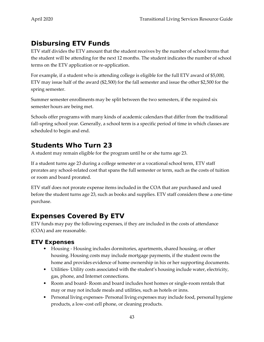## <span id="page-48-0"></span>**Disbursing ETV Funds**

ETV staff divides the ETV amount that the student receives by the number of school terms that the student will be attending for the next 12 months. The student indicates the number of school terms on the ETV application or re-application.

For example, if a student who is attending college is eligible for the full ETV award of \$5,000, ETV may issue half of the award (\$2,500) for the fall semester and issue the other \$2,500 for the spring semester.

Summer semester enrollments may be split between the two semesters, if the required six semester hours are being met.

Schools offer programs with many kinds of academic calendars that differ from the traditional fall-spring school year. Generally, a school term is a specific period of time in which classes are scheduled to begin and end.

## <span id="page-48-1"></span>**Students Who Turn 23**

A student may remain eligible for the program until he or she turns age 23.

If a student turns age 23 during a college semester or a vocational school term, ETV staff prorates any school-related cost that spans the full semester or term, such as the costs of tuition or room and board prorated.

ETV staff does not prorate expense items included in the COA that are purchased and used before the student turns age 23, such as books and supplies. ETV staff considers these a one-time purchase.

## <span id="page-48-2"></span>**Expenses Covered By ETV**

ETV funds may pay the following expenses, if they are included in the costs of attendance (COA) and are reasonable.

#### <span id="page-48-3"></span>**ETV Expenses**

- Housing Housing includes dormitories, apartments, shared housing, or other housing. Housing costs may include mortgage payments, if the student owns the home and provides evidence of home ownership in his or her supporting documents.
- Utilities- Utility costs associated with the student's housing include water, electricity, gas, phone, and Internet connections.
- Room and board- Room and board includes host homes or single-room rentals that may or may not include meals and utilities, such as hotels or inns.
- Personal living expenses-Personal living expenses may include food, personal hygiene products, a low-cost cell phone, or cleaning products.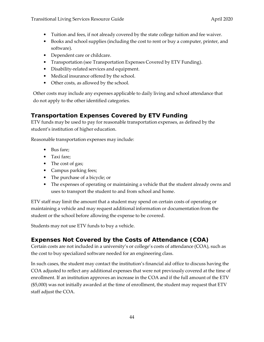- Tuition and fees, if not already covered by the state college tuition and fee waiver.
- Books and school supplies (including the cost to rent or buy a computer, printer, and software).
- Dependent care or childcare.
- Transportation (see Transportation Expenses Covered by ETV Funding).
- Disability-related services and equipment.
- Medical insurance offered by the school.
- Other costs, as allowed by the school.

Other costs may include any expenses applicable to daily living and school attendance that do not apply to the other identified categories.

### <span id="page-49-0"></span>**Transportation Expenses Covered by ETV Funding**

ETV funds may be used to pay for reasonable transportation expenses, as defined by the student's institution of higher education.

Reasonable transportation expenses may include:

- Bus fare;
- Taxi fare;
- The cost of gas;
- Campus parking fees;
- The purchase of a bicycle; or
- The expenses of operating or maintaining a vehicle that the student already owns and uses to transport the student to and from school and home.

ETV staff may limit the amount that a student may spend on certain costs of operating or maintaining a vehicle and may request additional information or documentation from the student or the school before allowing the expense to be covered.

Students may not use ETV funds to buy a vehicle.

### <span id="page-49-1"></span>**Expenses Not Covered by the Costs of Attendance (COA)**

Certain costs are not included in a university's or college's costs of attendance (COA), such as the cost to buy specialized software needed for an engineering class.

In such cases, the student may contact the institution's financial aid office to discuss having the COA adjusted to reflect any additional expenses that were not previously covered at the time of enrollment. If an institution approves an increase in the COA and if the full amount of the ETV (\$5,000) was not initially awarded at the time of enrollment, the student may request that ETV staff adjust the COA.